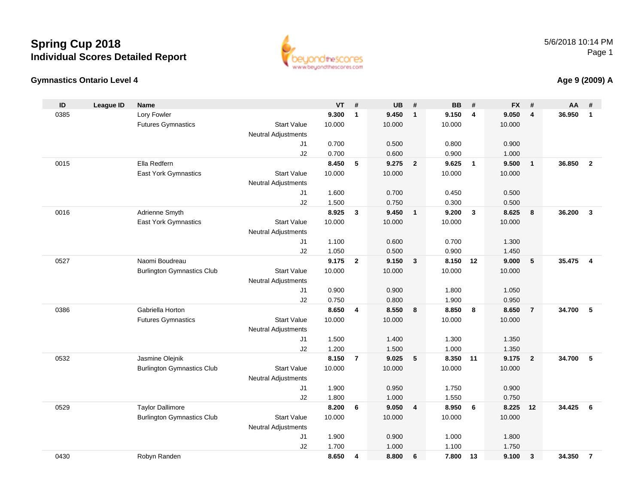



#### **Age 9 (2009) A**

| ID   | <b>League ID</b> | <b>Name</b>                       |                            | VT     | #              | <b>UB</b> | #                       | <b>BB</b> | #              | <b>FX</b> | #                       | AA     | #                       |
|------|------------------|-----------------------------------|----------------------------|--------|----------------|-----------|-------------------------|-----------|----------------|-----------|-------------------------|--------|-------------------------|
| 0385 |                  | Lory Fowler                       |                            | 9.300  | $\mathbf{1}$   | 9.450     | $\mathbf{1}$            | 9.150     | $\overline{4}$ | 9.050     | $\overline{4}$          | 36.950 | $\mathbf{1}$            |
|      |                  | <b>Futures Gymnastics</b>         | <b>Start Value</b>         | 10.000 |                | 10.000    |                         | 10.000    |                | 10.000    |                         |        |                         |
|      |                  |                                   | <b>Neutral Adjustments</b> |        |                |           |                         |           |                |           |                         |        |                         |
|      |                  |                                   | J1                         | 0.700  |                | 0.500     |                         | 0.800     |                | 0.900     |                         |        |                         |
|      |                  |                                   | J2                         | 0.700  |                | 0.600     |                         | 0.900     |                | 1.000     |                         |        |                         |
| 0015 |                  | Ella Redfern                      |                            | 8.450  | 5              | 9.275     | $\overline{\mathbf{2}}$ | 9.625     | $\overline{1}$ | 9.500     | $\overline{\mathbf{1}}$ | 36.850 | $\overline{2}$          |
|      |                  | <b>East York Gymnastics</b>       | <b>Start Value</b>         | 10.000 |                | 10.000    |                         | 10.000    |                | 10.000    |                         |        |                         |
|      |                  |                                   | <b>Neutral Adjustments</b> |        |                |           |                         |           |                |           |                         |        |                         |
|      |                  |                                   | J <sub>1</sub>             | 1.600  |                | 0.700     |                         | 0.450     |                | 0.500     |                         |        |                         |
|      |                  |                                   | J2                         | 1.500  |                | 0.750     |                         | 0.300     |                | 0.500     |                         |        |                         |
| 0016 |                  | Adrienne Smyth                    |                            | 8.925  | $\mathbf{3}$   | 9.450     | $\overline{1}$          | 9.200     | $\mathbf{3}$   | 8.625     | 8                       | 36.200 | $\overline{3}$          |
|      |                  | East York Gymnastics              | <b>Start Value</b>         | 10.000 |                | 10.000    |                         | 10.000    |                | 10.000    |                         |        |                         |
|      |                  |                                   | <b>Neutral Adjustments</b> |        |                |           |                         |           |                |           |                         |        |                         |
|      |                  |                                   | J1                         | 1.100  |                | 0.600     |                         | 0.700     |                | 1.300     |                         |        |                         |
|      |                  |                                   | J2                         | 1.050  |                | 0.500     |                         | 0.900     |                | 1.450     |                         |        |                         |
| 0527 |                  | Naomi Boudreau                    |                            | 9.175  | $\overline{2}$ | 9.150     | $\mathbf{3}$            | 8.150     | 12             | 9.000     | 5                       | 35.475 | $\overline{\mathbf{4}}$ |
|      |                  | <b>Burlington Gymnastics Club</b> | <b>Start Value</b>         | 10.000 |                | 10.000    |                         | 10.000    |                | 10.000    |                         |        |                         |
|      |                  |                                   | <b>Neutral Adjustments</b> |        |                |           |                         |           |                |           |                         |        |                         |
|      |                  |                                   | J1                         | 0.900  |                | 0.900     |                         | 1.800     |                | 1.050     |                         |        |                         |
|      |                  |                                   | J2                         | 0.750  |                | 0.800     |                         | 1.900     |                | 0.950     |                         |        |                         |
| 0386 |                  | Gabriella Horton                  |                            | 8.650  | 4              | 8.550     | 8                       | 8.850     | 8              | 8.650     | $\overline{7}$          | 34.700 | 5                       |
|      |                  | <b>Futures Gymnastics</b>         | <b>Start Value</b>         | 10.000 |                | 10.000    |                         | 10.000    |                | 10.000    |                         |        |                         |
|      |                  |                                   | <b>Neutral Adjustments</b> | 1.500  |                | 1.400     |                         | 1.300     |                | 1.350     |                         |        |                         |
|      |                  |                                   | J1<br>J2                   | 1.200  |                | 1.500     |                         | 1.000     |                | 1.350     |                         |        |                         |
| 0532 |                  | Jasmine Olejnik                   |                            | 8.150  | $\overline{7}$ | 9.025     | 5                       | 8.350     | 11             | 9.175     | $\overline{2}$          | 34.700 | 5                       |
|      |                  | <b>Burlington Gymnastics Club</b> | <b>Start Value</b>         | 10.000 |                | 10.000    |                         | 10.000    |                | 10.000    |                         |        |                         |
|      |                  |                                   | <b>Neutral Adjustments</b> |        |                |           |                         |           |                |           |                         |        |                         |
|      |                  |                                   | J <sub>1</sub>             | 1.900  |                | 0.950     |                         | 1.750     |                | 0.900     |                         |        |                         |
|      |                  |                                   | J2                         | 1.800  |                | 1.000     |                         | 1.550     |                | 0.750     |                         |        |                         |
| 0529 |                  | <b>Taylor Dallimore</b>           |                            | 8.200  | 6              | 9.050     | $\overline{4}$          | 8.950     | 6              | 8.225     | 12                      | 34.425 | 6                       |
|      |                  | <b>Burlington Gymnastics Club</b> | <b>Start Value</b>         | 10.000 |                | 10.000    |                         | 10.000    |                | 10.000    |                         |        |                         |
|      |                  |                                   | <b>Neutral Adjustments</b> |        |                |           |                         |           |                |           |                         |        |                         |
|      |                  |                                   | J1                         | 1.900  |                | 0.900     |                         | 1.000     |                | 1.800     |                         |        |                         |
|      |                  |                                   | J2                         | 1.700  |                | 1.000     |                         | 1.100     |                | 1.750     |                         |        |                         |
| 0430 |                  | Robyn Randen                      |                            | 8.650  | $\overline{4}$ | 8.800     | 6                       | 7.800     | 13             | 9.100     | $\overline{3}$          | 34.350 | $\overline{7}$          |
|      |                  |                                   |                            |        |                |           |                         |           |                |           |                         |        |                         |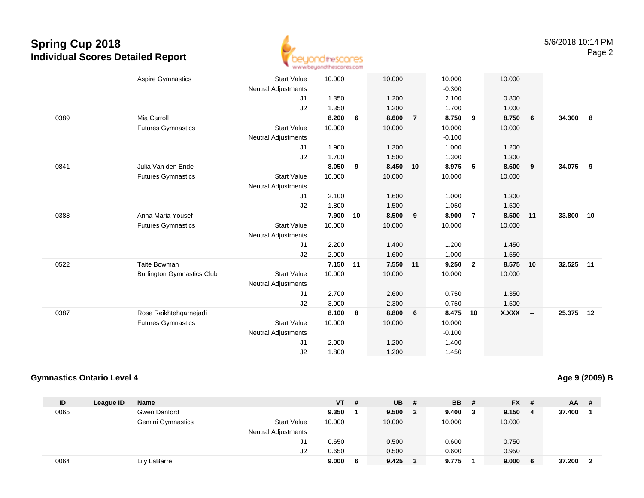

|      | <b>Aspire Gymnastics</b>          | <b>Start Value</b>         | 10.000 |    | 10.000 |                | 10.000   |                | 10.000 |                         |           |    |
|------|-----------------------------------|----------------------------|--------|----|--------|----------------|----------|----------------|--------|-------------------------|-----------|----|
|      |                                   | <b>Neutral Adjustments</b> |        |    |        |                | $-0.300$ |                |        |                         |           |    |
|      |                                   | J1                         | 1.350  |    | 1.200  |                | 2.100    |                | 0.800  |                         |           |    |
|      |                                   | J2                         | 1.350  |    | 1.200  |                | 1.700    |                | 1.000  |                         |           |    |
| 0389 | Mia Carroll                       |                            | 8.200  | 6  | 8.600  | $\overline{7}$ | 8.750    | 9              | 8.750  | 6                       | 34.300    | 8  |
|      | <b>Futures Gymnastics</b>         | <b>Start Value</b>         | 10.000 |    | 10.000 |                | 10.000   |                | 10.000 |                         |           |    |
|      |                                   | <b>Neutral Adjustments</b> |        |    |        |                | $-0.100$ |                |        |                         |           |    |
|      |                                   | J <sub>1</sub>             | 1.900  |    | 1.300  |                | 1.000    |                | 1.200  |                         |           |    |
|      |                                   | J2                         | 1.700  |    | 1.500  |                | 1.300    |                | 1.300  |                         |           |    |
| 0841 | Julia Van den Ende                |                            | 8.050  | 9  | 8.450  | 10             | 8.975    | 5              | 8.600  | $\overline{\mathbf{9}}$ | 34.075    | 9  |
|      | <b>Futures Gymnastics</b>         | <b>Start Value</b>         | 10.000 |    | 10.000 |                | 10.000   |                | 10.000 |                         |           |    |
|      |                                   | <b>Neutral Adjustments</b> |        |    |        |                |          |                |        |                         |           |    |
|      |                                   | J <sub>1</sub>             | 2.100  |    | 1.600  |                | 1.000    |                | 1.300  |                         |           |    |
|      |                                   | J <sub>2</sub>             | 1.800  |    | 1.500  |                | 1.050    |                | 1.500  |                         |           |    |
| 0388 | Anna Maria Yousef                 |                            | 7.900  | 10 | 8.500  | 9              | 8.900    | $\overline{7}$ | 8.500  | 11                      | 33.800    | 10 |
|      | <b>Futures Gymnastics</b>         | <b>Start Value</b>         | 10.000 |    | 10.000 |                | 10.000   |                | 10.000 |                         |           |    |
|      |                                   | <b>Neutral Adjustments</b> |        |    |        |                |          |                |        |                         |           |    |
|      |                                   | J1                         | 2.200  |    | 1.400  |                | 1.200    |                | 1.450  |                         |           |    |
|      |                                   | J2                         | 2.000  |    | 1.600  |                | 1.000    |                | 1.550  |                         |           |    |
| 0522 | Taite Bowman                      |                            | 7.150  | 11 | 7.550  | 11             | 9.250    | $\overline{2}$ | 8.575  | 10                      | 32.525    | 11 |
|      | <b>Burlington Gymnastics Club</b> | <b>Start Value</b>         | 10.000 |    | 10.000 |                | 10.000   |                | 10.000 |                         |           |    |
|      |                                   | <b>Neutral Adjustments</b> |        |    |        |                |          |                |        |                         |           |    |
|      |                                   | J1                         | 2.700  |    | 2.600  |                | 0.750    |                | 1.350  |                         |           |    |
|      |                                   | J2                         | 3.000  |    | 2.300  |                | 0.750    |                | 1.500  |                         |           |    |
| 0387 | Rose Reikhtehgarnejadi            |                            | 8.100  | 8  | 8.800  | 6              | 8.475    | 10             | X.XXX  | $\sim$                  | 25.375 12 |    |
|      | <b>Futures Gymnastics</b>         | <b>Start Value</b>         | 10.000 |    | 10.000 |                | 10.000   |                |        |                         |           |    |
|      |                                   | <b>Neutral Adjustments</b> |        |    |        |                | $-0.100$ |                |        |                         |           |    |
|      |                                   | J <sub>1</sub>             | 2.000  |    | 1.200  |                | 1.400    |                |        |                         |           |    |
|      |                                   | J2                         | 1.800  |    | 1.200  |                | 1.450    |                |        |                         |           |    |

#### **Gymnastics Ontario Level 4**

**Age 9 (2009) B**

| ID   | League ID | <b>Name</b>       |                            | <b>VT</b> | # | <b>UB</b> | #            | <b>BB</b> # |   | $FX$ #  |     | <b>AA</b> | - # |
|------|-----------|-------------------|----------------------------|-----------|---|-----------|--------------|-------------|---|---------|-----|-----------|-----|
| 0065 |           | Gwen Danford      |                            | 9.350     |   | 9.500     | $\mathbf{2}$ | 9.400       | 3 | 9.150 4 |     | 37.400    |     |
|      |           | Gemini Gymnastics | <b>Start Value</b>         | 10.000    |   | 10.000    |              | 10.000      |   | 10.000  |     |           |     |
|      |           |                   | <b>Neutral Adjustments</b> |           |   |           |              |             |   |         |     |           |     |
|      |           |                   | J1                         | 0.650     |   | 0.500     |              | 0.600       |   | 0.750   |     |           |     |
|      |           |                   | J2                         | 0.650     |   | 0.500     |              | 0.600       |   | 0.950   |     |           |     |
| 0064 |           | Lily LaBarre      |                            | 9.000     | 6 | 9.425     |              | 9.775       |   | 9.000   | - 6 | 37.200    | - 2 |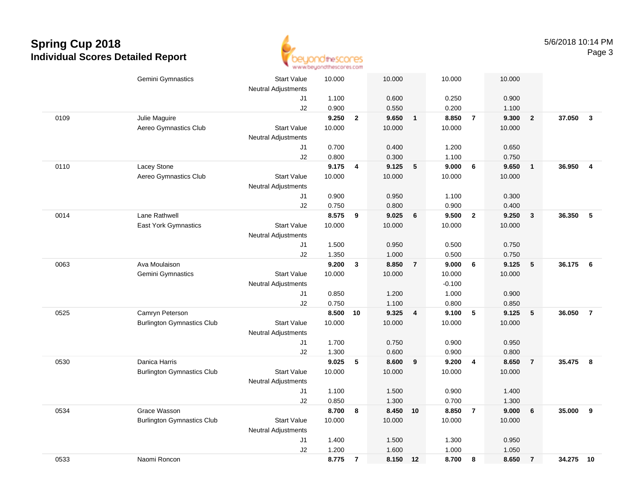

|      | Gemini Gymnastics                 | <b>Start Value</b>         | 10.000 |                | 10.000 |                         | 10.000   |                | 10.000 |                         |           |                |
|------|-----------------------------------|----------------------------|--------|----------------|--------|-------------------------|----------|----------------|--------|-------------------------|-----------|----------------|
|      |                                   | <b>Neutral Adjustments</b> |        |                |        |                         |          |                |        |                         |           |                |
|      |                                   | J1                         | 1.100  |                | 0.600  |                         | 0.250    |                | 0.900  |                         |           |                |
|      |                                   | J2                         | 0.900  |                | 0.550  |                         | 0.200    |                | 1.100  |                         |           |                |
| 0109 | Julie Maguire                     |                            | 9.250  | $\overline{2}$ | 9.650  | $\overline{\mathbf{1}}$ | 8.850    | $\overline{7}$ | 9.300  | $\overline{\mathbf{2}}$ | 37.050    | $\mathbf{3}$   |
|      | Aereo Gymnastics Club             | <b>Start Value</b>         | 10.000 |                | 10.000 |                         | 10.000   |                | 10.000 |                         |           |                |
|      |                                   | <b>Neutral Adjustments</b> |        |                |        |                         |          |                |        |                         |           |                |
|      |                                   | J1                         | 0.700  |                | 0.400  |                         | 1.200    |                | 0.650  |                         |           |                |
|      |                                   | J2                         | 0.800  |                | 0.300  |                         | 1.100    |                | 0.750  |                         |           |                |
| 0110 | Lacey Stone                       |                            | 9.175  | 4              | 9.125  | 5                       | 9.000    | 6              | 9.650  | $\overline{1}$          | 36.950    | $\overline{4}$ |
|      | Aereo Gymnastics Club             | <b>Start Value</b>         | 10.000 |                | 10.000 |                         | 10.000   |                | 10.000 |                         |           |                |
|      |                                   | <b>Neutral Adjustments</b> |        |                |        |                         |          |                |        |                         |           |                |
|      |                                   | J1                         | 0.900  |                | 0.950  |                         | 1.100    |                | 0.300  |                         |           |                |
|      |                                   | J2                         | 0.750  |                | 0.800  |                         | 0.900    |                | 0.400  |                         |           |                |
| 0014 | Lane Rathwell                     |                            | 8.575  | 9              | 9.025  | 6                       | 9.500    | $\overline{2}$ | 9.250  | $\overline{\mathbf{3}}$ | 36.350    | -5             |
|      | <b>East York Gymnastics</b>       | <b>Start Value</b>         | 10.000 |                | 10.000 |                         | 10.000   |                | 10.000 |                         |           |                |
|      |                                   | <b>Neutral Adjustments</b> |        |                |        |                         |          |                |        |                         |           |                |
|      |                                   | J1                         | 1.500  |                | 0.950  |                         | 0.500    |                | 0.750  |                         |           |                |
|      |                                   | J2                         | 1.350  |                | 1.000  |                         | 0.500    |                | 0.750  |                         |           |                |
| 0063 | Ava Moulaison                     |                            | 9.200  | $\mathbf{3}$   | 8.850  | $\overline{7}$          | 9.000    | 6              | 9.125  | $5\phantom{1}$          | 36.175    | - 6            |
|      | Gemini Gymnastics                 | <b>Start Value</b>         | 10.000 |                | 10.000 |                         | 10.000   |                | 10.000 |                         |           |                |
|      |                                   | <b>Neutral Adjustments</b> |        |                |        |                         | $-0.100$ |                |        |                         |           |                |
|      |                                   | J1                         | 0.850  |                | 1.200  |                         | 1.000    |                | 0.900  |                         |           |                |
|      |                                   | J2                         | 0.750  |                | 1.100  |                         | 0.800    |                | 0.850  |                         |           |                |
| 0525 | Camryn Peterson                   |                            | 8.500  | 10             | 9.325  | $\overline{4}$          | 9.100    | 5              | 9.125  | $5\phantom{.0}$         | 36.050    | $\overline{7}$ |
|      | <b>Burlington Gymnastics Club</b> | <b>Start Value</b>         | 10.000 |                | 10.000 |                         | 10.000   |                | 10.000 |                         |           |                |
|      |                                   | <b>Neutral Adjustments</b> |        |                |        |                         |          |                |        |                         |           |                |
|      |                                   | J1                         | 1.700  |                | 0.750  |                         | 0.900    |                | 0.950  |                         |           |                |
|      |                                   | J2                         | 1.300  |                | 0.600  |                         | 0.900    |                | 0.800  |                         |           |                |
| 0530 | Danica Harris                     |                            | 9.025  | 5              | 8.600  | 9                       | 9.200    | $\overline{4}$ | 8.650  | $\overline{7}$          | 35.475    | 8              |
|      | <b>Burlington Gymnastics Club</b> | <b>Start Value</b>         | 10.000 |                | 10.000 |                         | 10.000   |                | 10.000 |                         |           |                |
|      |                                   | <b>Neutral Adjustments</b> |        |                |        |                         |          |                |        |                         |           |                |
|      |                                   | J1                         | 1.100  |                | 1.500  |                         | 0.900    |                | 1.400  |                         |           |                |
|      |                                   | J2                         | 0.850  |                | 1.300  |                         | 0.700    |                | 1.300  |                         |           |                |
| 0534 | Grace Wasson                      |                            | 8.700  | 8              | 8.450  | 10                      | 8.850    | $\overline{7}$ | 9.000  | $\bf 6$                 | 35.000    | 9              |
|      | <b>Burlington Gymnastics Club</b> | <b>Start Value</b>         | 10.000 |                | 10.000 |                         | 10.000   |                | 10.000 |                         |           |                |
|      |                                   | <b>Neutral Adjustments</b> |        |                |        |                         |          |                |        |                         |           |                |
|      |                                   | J1                         | 1.400  |                | 1.500  |                         | 1.300    |                | 0.950  |                         |           |                |
|      |                                   | J2                         | 1.200  |                | 1.600  |                         | 1.000    |                | 1.050  |                         |           |                |
| 0533 | Naomi Roncon                      |                            | 8.775  | $\overline{7}$ | 8.150  | 12                      | 8.700    | 8              | 8.650  | $\overline{7}$          | 34.275 10 |                |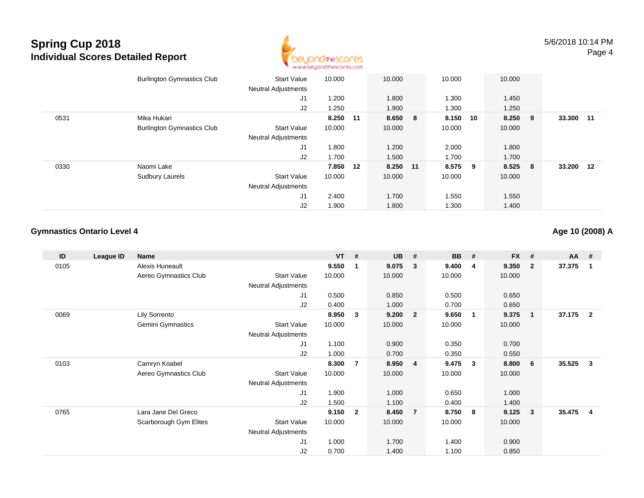

|      | <b>Burlington Gymnastics Club</b> | <b>Start Value</b><br><b>Neutral Adjustments</b> | 10.000   | 10.000   | 10.000   |     | 10.000    |   |           |       |
|------|-----------------------------------|--------------------------------------------------|----------|----------|----------|-----|-----------|---|-----------|-------|
|      |                                   | J <sub>1</sub>                                   | 1.200    | 1.800    | 1.300    |     | 1.450     |   |           |       |
|      |                                   | J2                                               | 1.250    | 1.900    | 1.300    |     | 1.250     |   |           |       |
| 0531 | Mika Hukari                       |                                                  | 8.250 11 | 8.650 8  | 8.150 10 |     | $8.250$ 9 |   | 33.300    | $-11$ |
|      | <b>Burlington Gymnastics Club</b> | <b>Start Value</b>                               | 10.000   | 10.000   | 10.000   |     | 10.000    |   |           |       |
|      |                                   | <b>Neutral Adjustments</b>                       |          |          |          |     |           |   |           |       |
|      |                                   | J1                                               | 1.800    | 1.200    | 2.000    |     | 1.800     |   |           |       |
|      |                                   | J2                                               | 1.700    | 1.500    | 1.700    |     | 1.700     |   |           |       |
| 0330 | Naomi Lake                        |                                                  | 7.850 12 | 8.250 11 | 8.575    | - 9 | 8.525     | 8 | 33.200 12 |       |
|      | <b>Sudbury Laurels</b>            | <b>Start Value</b>                               | 10.000   | 10.000   | 10.000   |     | 10.000    |   |           |       |
|      |                                   | <b>Neutral Adjustments</b>                       |          |          |          |     |           |   |           |       |
|      |                                   | J <sub>1</sub>                                   | 2.400    | 1.700    | 1.550    |     | 1.550     |   |           |       |
|      |                                   | J2                                               | 1.900    | 1.800    | 1.300    |     | 1.400     |   |           |       |

#### **Gymnastics Ontario Level 4**

#### **Age 10 (2008) A**

| ID   | League ID | Name                     |                            | $VT$ # |              | <b>UB</b> | #                       | <b>BB</b> | #              | <b>FX</b> | #            | <b>AA</b> | #              |
|------|-----------|--------------------------|----------------------------|--------|--------------|-----------|-------------------------|-----------|----------------|-----------|--------------|-----------|----------------|
| 0105 |           | <b>Alexis Huneault</b>   |                            | 9.550  | -1           | 9.075     | 3                       | 9.400     | 4              | 9.350     | $\mathbf{2}$ | 37.375    | 1              |
|      |           | Aereo Gymnastics Club    | <b>Start Value</b>         | 10.000 |              | 10.000    |                         | 10.000    |                | 10.000    |              |           |                |
|      |           |                          | <b>Neutral Adjustments</b> |        |              |           |                         |           |                |           |              |           |                |
|      |           |                          | J1                         | 0.500  |              | 0.850     |                         | 0.500     |                | 0.650     |              |           |                |
|      |           |                          | J2                         | 0.400  |              | 1.000     |                         | 0.700     |                | 0.650     |              |           |                |
| 0069 |           | Lily Sorrento            |                            | 8.950  | 3            | 9.200     | $\overline{\mathbf{2}}$ | 9.650     | $\blacksquare$ | 9.375     | $\mathbf{1}$ | 37.175    | $\overline{2}$ |
|      |           | <b>Gemini Gymnastics</b> | <b>Start Value</b>         | 10.000 |              | 10.000    |                         | 10.000    |                | 10.000    |              |           |                |
|      |           |                          | <b>Neutral Adjustments</b> |        |              |           |                         |           |                |           |              |           |                |
|      |           |                          | J1                         | 1.100  |              | 0.900     |                         | 0.350     |                | 0.700     |              |           |                |
|      |           |                          | J2                         | 1.000  |              | 0.700     |                         | 0.350     |                | 0.550     |              |           |                |
| 0103 |           | Camryn Koabel            |                            | 8.300  | 7            | 8.950     | $\overline{4}$          | 9.475     | $\mathbf{3}$   | 8.800     | 6            | 35.525    | 3              |
|      |           | Aereo Gymnastics Club    | <b>Start Value</b>         | 10.000 |              | 10.000    |                         | 10.000    |                | 10.000    |              |           |                |
|      |           |                          | <b>Neutral Adjustments</b> |        |              |           |                         |           |                |           |              |           |                |
|      |           |                          | J1                         | 1.900  |              | 1.000     |                         | 0.650     |                | 1.000     |              |           |                |
|      |           |                          | J2                         | 1.500  |              | 1.100     |                         | 0.400     |                | 1.400     |              |           |                |
| 0765 |           | Lara Jane Del Greco      |                            | 9.150  | $\mathbf{2}$ | 8.450     | $\overline{7}$          | 8.750     | -8             | 9.125     | $\mathbf{3}$ | 35.475    | 4              |
|      |           | Scarborough Gym Elites   | <b>Start Value</b>         | 10.000 |              | 10.000    |                         | 10.000    |                | 10.000    |              |           |                |
|      |           |                          | <b>Neutral Adjustments</b> |        |              |           |                         |           |                |           |              |           |                |
|      |           |                          | J1                         | 1.000  |              | 1.700     |                         | 1.400     |                | 0.900     |              |           |                |
|      |           |                          | J <sub>2</sub>             | 0.700  |              | 1.400     |                         | 1.100     |                | 0.850     |              |           |                |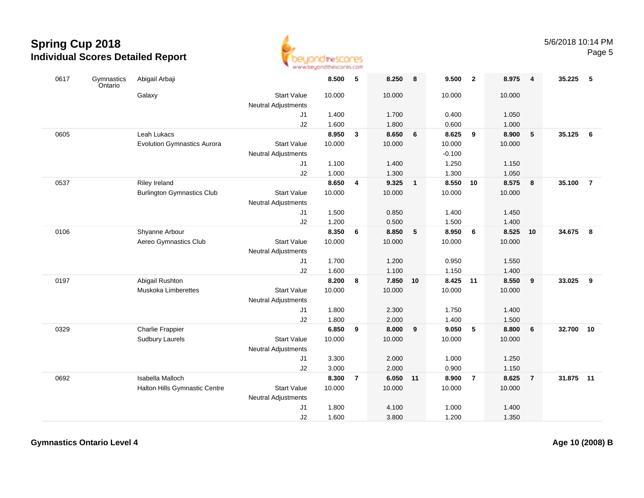

| 0617 | Gymnastics<br>Ontario | Abigail Arbaji                     |                                                  | 8.500  | - 5            | 8.250    | - 8          | 9.500    | $\overline{\mathbf{2}}$ | 8.975  | $\overline{4}$  | 35.225    | -5              |
|------|-----------------------|------------------------------------|--------------------------------------------------|--------|----------------|----------|--------------|----------|-------------------------|--------|-----------------|-----------|-----------------|
|      |                       | Galaxy                             | <b>Start Value</b><br><b>Neutral Adjustments</b> | 10.000 |                | 10.000   |              | 10.000   |                         | 10.000 |                 |           |                 |
|      |                       |                                    | J1                                               | 1.400  |                | 1.700    |              | 0.400    |                         | 1.050  |                 |           |                 |
|      |                       |                                    | J2                                               | 1.600  |                | 1.800    |              | 0.600    |                         | 1.000  |                 |           |                 |
| 0605 |                       | Leah Lukacs                        |                                                  | 8.950  | $\mathbf{3}$   | 8.650    | 6            | 8.625    | 9                       | 8.900  | $5\phantom{.0}$ | 35.125    | $6\overline{6}$ |
|      |                       | <b>Evolution Gymnastics Aurora</b> | <b>Start Value</b>                               | 10.000 |                | 10.000   |              | 10.000   |                         | 10.000 |                 |           |                 |
|      |                       |                                    | <b>Neutral Adjustments</b>                       |        |                |          |              | $-0.100$ |                         |        |                 |           |                 |
|      |                       |                                    | J1                                               | 1.100  |                | 1.400    |              | 1.250    |                         | 1.150  |                 |           |                 |
|      |                       |                                    | J2                                               | 1.000  |                | 1.300    |              | 1.300    |                         | 1.050  |                 |           |                 |
| 0537 |                       | Riley Ireland                      |                                                  | 8.650  | 4              | 9.325    | $\mathbf{1}$ | 8.550 10 |                         | 8.575  | 8               | 35.100    | $\overline{7}$  |
|      |                       | <b>Burlington Gymnastics Club</b>  | <b>Start Value</b>                               | 10.000 |                | 10.000   |              | 10.000   |                         | 10.000 |                 |           |                 |
|      |                       |                                    | <b>Neutral Adjustments</b>                       |        |                |          |              |          |                         |        |                 |           |                 |
|      |                       |                                    | J1                                               | 1.500  |                | 0.850    |              | 1.400    |                         | 1.450  |                 |           |                 |
|      |                       |                                    | J2                                               | 1.200  |                | 0.500    |              | 1.500    |                         | 1.400  |                 |           |                 |
| 0106 |                       | Shyanne Arbour                     |                                                  | 8.350  | 6              | 8.850    | 5            | 8.950    | 6                       | 8.525  | 10              | 34.675    | 8               |
|      |                       | Aereo Gymnastics Club              | <b>Start Value</b>                               | 10.000 |                | 10.000   |              | 10.000   |                         | 10.000 |                 |           |                 |
|      |                       |                                    | <b>Neutral Adjustments</b>                       |        |                |          |              |          |                         |        |                 |           |                 |
|      |                       |                                    | J <sub>1</sub>                                   | 1.700  |                | 1.200    |              | 0.950    |                         | 1.550  |                 |           |                 |
|      |                       |                                    | J2                                               | 1.600  |                | 1.100    |              | 1.150    |                         | 1.400  |                 |           |                 |
| 0197 |                       | Abigail Rushton                    |                                                  | 8.200  | 8              | 7.850    | 10           | 8.425    | 11                      | 8.550  | 9               | 33.025    | 9               |
|      |                       | Muskoka Limberettes                | <b>Start Value</b>                               | 10.000 |                | 10.000   |              | 10.000   |                         | 10.000 |                 |           |                 |
|      |                       |                                    | Neutral Adjustments                              |        |                |          |              |          |                         |        |                 |           |                 |
|      |                       |                                    | J <sub>1</sub>                                   | 1.800  |                | 2.300    |              | 1.750    |                         | 1.400  |                 |           |                 |
|      |                       |                                    | J2                                               | 1.800  |                | 2.000    |              | 1.400    |                         | 1.500  |                 |           |                 |
| 0329 |                       | Charlie Frappier                   |                                                  | 6.850  | 9              | 8.000    | 9            | 9.050    | $\sqrt{5}$              | 8.800  | 6               | 32.700    | 10              |
|      |                       | <b>Sudbury Laurels</b>             | <b>Start Value</b>                               | 10.000 |                | 10.000   |              | 10.000   |                         | 10.000 |                 |           |                 |
|      |                       |                                    | <b>Neutral Adjustments</b>                       |        |                |          |              |          |                         |        |                 |           |                 |
|      |                       |                                    | J1                                               | 3.300  |                | 2.000    |              | 1.000    |                         | 1.250  |                 |           |                 |
|      |                       |                                    | J2                                               | 3.000  |                | 2.000    |              | 0.900    |                         | 1.150  |                 |           |                 |
| 0692 |                       | Isabella Malloch                   |                                                  | 8.300  | $\overline{7}$ | 6.050 11 |              | 8.900    | $\overline{7}$          | 8.625  | $\overline{7}$  | 31.875 11 |                 |
|      |                       | Halton Hills Gymnastic Centre      | <b>Start Value</b>                               | 10.000 |                | 10.000   |              | 10.000   |                         | 10.000 |                 |           |                 |
|      |                       |                                    | Neutral Adjustments                              |        |                |          |              |          |                         |        |                 |           |                 |
|      |                       |                                    | J1                                               | 1.800  |                | 4.100    |              | 1.000    |                         | 1.400  |                 |           |                 |
|      |                       |                                    | J2                                               | 1.600  |                | 3.800    |              | 1.200    |                         | 1.350  |                 |           |                 |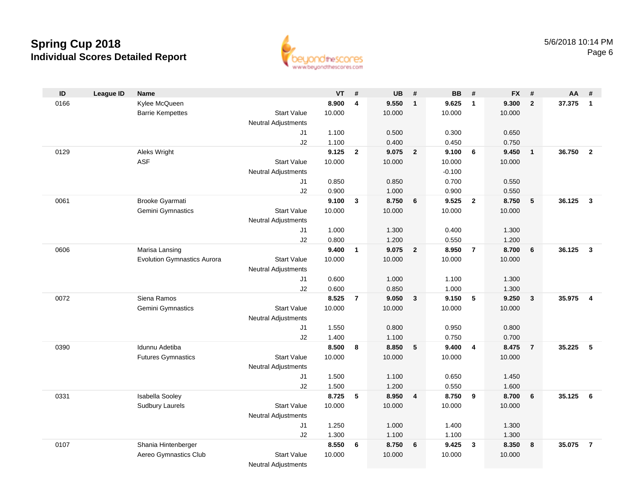

| ID   | <b>League ID</b> | <b>Name</b>                        |                            | <b>VT</b> | #              | <b>UB</b> | #              | <b>BB</b> | #                       | <b>FX</b> | #                       | AA     | #              |
|------|------------------|------------------------------------|----------------------------|-----------|----------------|-----------|----------------|-----------|-------------------------|-----------|-------------------------|--------|----------------|
| 0166 |                  | Kylee McQueen                      |                            | 8.900     | 4              | 9.550     | $\mathbf{1}$   | 9.625     | $\mathbf{1}$            | 9.300     | $\overline{2}$          | 37.375 | $\overline{1}$ |
|      |                  | <b>Barrie Kempettes</b>            | <b>Start Value</b>         | 10.000    |                | 10.000    |                | 10.000    |                         | 10.000    |                         |        |                |
|      |                  |                                    | <b>Neutral Adjustments</b> |           |                |           |                |           |                         |           |                         |        |                |
|      |                  |                                    | J1                         | 1.100     |                | 0.500     |                | 0.300     |                         | 0.650     |                         |        |                |
|      |                  |                                    | J2                         | 1.100     |                | 0.400     |                | 0.450     |                         | 0.750     |                         |        |                |
| 0129 |                  | Aleks Wright                       |                            | 9.125     | $\overline{2}$ | 9.075     | $\overline{2}$ | 9.100     | 6                       | 9.450     | $\overline{\mathbf{1}}$ | 36.750 | $\overline{2}$ |
|      |                  | <b>ASF</b>                         | <b>Start Value</b>         | 10.000    |                | 10.000    |                | 10.000    |                         | 10.000    |                         |        |                |
|      |                  |                                    | <b>Neutral Adjustments</b> |           |                |           |                | $-0.100$  |                         |           |                         |        |                |
|      |                  |                                    | J1                         | 0.850     |                | 0.850     |                | 0.700     |                         | 0.550     |                         |        |                |
|      |                  |                                    | J2                         | 0.900     |                | 1.000     |                | 0.900     |                         | 0.550     |                         |        |                |
| 0061 |                  | Brooke Gyarmati                    |                            | 9.100     | $\mathbf{3}$   | 8.750     | 6              | 9.525     | $\mathbf{2}$            | 8.750     | $5\phantom{.0}$         | 36.125 | $\mathbf{3}$   |
|      |                  | Gemini Gymnastics                  | <b>Start Value</b>         | 10.000    |                | 10.000    |                | 10.000    |                         | 10.000    |                         |        |                |
|      |                  |                                    | <b>Neutral Adjustments</b> |           |                |           |                |           |                         |           |                         |        |                |
|      |                  |                                    | J1                         | 1.000     |                | 1.300     |                | 0.400     |                         | 1.300     |                         |        |                |
|      |                  |                                    | J2                         | 0.800     |                | 1.200     |                | 0.550     |                         | 1.200     |                         |        |                |
| 0606 |                  | Marisa Lansing                     |                            | 9.400     | $\mathbf{1}$   | 9.075     | $\overline{2}$ | 8.950     | $\overline{7}$          | 8.700     | $6\phantom{1}6$         | 36.125 | $\mathbf{3}$   |
|      |                  | <b>Evolution Gymnastics Aurora</b> | <b>Start Value</b>         | 10.000    |                | 10.000    |                | 10.000    |                         | 10.000    |                         |        |                |
|      |                  |                                    | <b>Neutral Adjustments</b> |           |                |           |                |           |                         |           |                         |        |                |
|      |                  |                                    | J1                         | 0.600     |                | 1.000     |                | 1.100     |                         | 1.300     |                         |        |                |
|      |                  |                                    | J2                         | 0.600     |                | 0.850     |                | 1.000     |                         | 1.300     |                         |        |                |
| 0072 |                  | Siena Ramos                        |                            | 8.525     | $\overline{7}$ | 9.050     | $\mathbf{3}$   | 9.150     | 5                       | 9.250     | $\mathbf{3}$            | 35.975 | $\overline{4}$ |
|      |                  | Gemini Gymnastics                  | <b>Start Value</b>         | 10.000    |                | 10.000    |                | 10.000    |                         | 10.000    |                         |        |                |
|      |                  |                                    | <b>Neutral Adjustments</b> |           |                |           |                |           |                         |           |                         |        |                |
|      |                  |                                    | J1                         | 1.550     |                | 0.800     |                | 0.950     |                         | 0.800     |                         |        |                |
|      |                  |                                    | J2                         | 1.400     |                | 1.100     |                | 0.750     |                         | 0.700     |                         |        |                |
| 0390 |                  | Idunnu Adetiba                     |                            | 8.500     | 8              | 8.850     | 5              | 9.400     | $\overline{4}$          | 8.475     | $\overline{7}$          | 35.225 | -5             |
|      |                  | <b>Futures Gymnastics</b>          | <b>Start Value</b>         | 10.000    |                | 10.000    |                | 10.000    |                         | 10.000    |                         |        |                |
|      |                  |                                    | <b>Neutral Adjustments</b> |           |                |           |                |           |                         |           |                         |        |                |
|      |                  |                                    | J1                         | 1.500     |                | 1.100     |                | 0.650     |                         | 1.450     |                         |        |                |
|      |                  |                                    | J2                         | 1.500     |                | 1.200     |                | 0.550     |                         | 1.600     |                         |        |                |
| 0331 |                  | Isabella Sooley                    |                            | 8.725     | 5              | 8.950     | $\overline{4}$ | 8.750     | $\overline{\mathbf{9}}$ | 8.700     | 6                       | 35.125 | - 6            |
|      |                  | <b>Sudbury Laurels</b>             | <b>Start Value</b>         | 10.000    |                | 10.000    |                | 10.000    |                         | 10.000    |                         |        |                |
|      |                  |                                    | <b>Neutral Adjustments</b> |           |                |           |                |           |                         |           |                         |        |                |
|      |                  |                                    | J1                         | 1.250     |                | 1.000     |                | 1.400     |                         | 1.300     |                         |        |                |
|      |                  |                                    | J2                         | 1.300     |                | 1.100     |                | 1.100     |                         | 1.300     |                         |        |                |
| 0107 |                  | Shania Hintenberger                |                            | 8.550     | 6              | 8.750     | 6              | 9.425     | $\mathbf{3}$            | 8.350     | 8                       | 35.075 | $\overline{7}$ |
|      |                  | Aereo Gymnastics Club              | <b>Start Value</b>         | 10.000    |                | 10.000    |                | 10.000    |                         | 10.000    |                         |        |                |
|      |                  |                                    | <b>Neutral Adjustments</b> |           |                |           |                |           |                         |           |                         |        |                |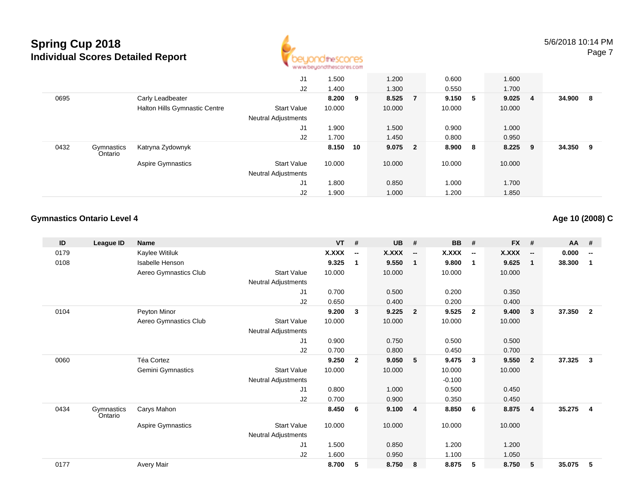

|      |                       |                               | J <sub>1</sub>                                   | 1.500     | 1.200     |                | 0.600   |     | 1.600  |                |        |   |
|------|-----------------------|-------------------------------|--------------------------------------------------|-----------|-----------|----------------|---------|-----|--------|----------------|--------|---|
|      |                       |                               | J2                                               | 1.400     | 1.300     |                | 0.550   |     | 1.700  |                |        |   |
| 0695 |                       | Carly Leadbeater              |                                                  | $8.200$ 9 | 8.525     | $\overline{7}$ | 9.150 5 |     | 9.025  | $\overline{4}$ | 34.900 | 8 |
|      |                       | Halton Hills Gymnastic Centre | <b>Start Value</b><br><b>Neutral Adjustments</b> | 10.000    | 10.000    |                | 10.000  |     | 10.000 |                |        |   |
|      |                       |                               | J1                                               | 1.900     | 1.500     |                | 0.900   |     | 1.000  |                |        |   |
|      |                       |                               | J2                                               | 1.700     | 1.450     |                | 0.800   |     | 0.950  |                |        |   |
| 0432 | Gymnastics<br>Ontario | Katryna Zydownyk              |                                                  | 8.150 10  | $9.075$ 2 |                | 8.900   | - 8 | 8.225  | 9              | 34.350 | 9 |
|      |                       | <b>Aspire Gymnastics</b>      | <b>Start Value</b><br><b>Neutral Adjustments</b> | 10.000    | 10.000    |                | 10.000  |     | 10.000 |                |        |   |
|      |                       |                               | J1                                               | 1.800     | 0.850     |                | 1.000   |     | 1.700  |                |        |   |
|      |                       |                               | J2                                               | 1.900     | 1.000     |                | 1.200   |     | 1.850  |                |        |   |

#### **Gymnastics Ontario Level 4**

**Age 10 (2008) C**

| ID   | League ID             | <b>Name</b>              |                     | <b>VT</b>    | #                        | <b>UB</b>    | #                        | <b>BB</b> | #                        | <b>FX</b> | #                        | AA     | #                        |
|------|-----------------------|--------------------------|---------------------|--------------|--------------------------|--------------|--------------------------|-----------|--------------------------|-----------|--------------------------|--------|--------------------------|
| 0179 |                       | Kaylee Witiluk           |                     | <b>X.XXX</b> | $\overline{\phantom{a}}$ | <b>X.XXX</b> | $\overline{\phantom{a}}$ | X.XXX     | $\overline{\phantom{a}}$ | X.XXX     | $\overline{\phantom{a}}$ | 0.000  | $\overline{\phantom{a}}$ |
| 0108 |                       | <b>Isabelle Henson</b>   |                     | 9.325        | 1                        | 9.550        | 1                        | 9.800     | $\overline{1}$           | 9.625     | $\mathbf{1}$             | 38.300 | -1                       |
|      |                       | Aereo Gymnastics Club    | <b>Start Value</b>  | 10.000       |                          | 10.000       |                          | 10.000    |                          | 10.000    |                          |        |                          |
|      |                       |                          | Neutral Adjustments |              |                          |              |                          |           |                          |           |                          |        |                          |
|      |                       |                          | J <sub>1</sub>      | 0.700        |                          | 0.500        |                          | 0.200     |                          | 0.350     |                          |        |                          |
|      |                       |                          | J2                  | 0.650        |                          | 0.400        |                          | 0.200     |                          | 0.400     |                          |        |                          |
| 0104 |                       | Peyton Minor             |                     | 9.200        | $\mathbf{3}$             | 9.225        | $\overline{2}$           | 9.525     | $\overline{2}$           | 9.400     | - 3                      | 37.350 | $\mathbf{2}$             |
|      |                       | Aereo Gymnastics Club    | <b>Start Value</b>  | 10.000       |                          | 10.000       |                          | 10.000    |                          | 10.000    |                          |        |                          |
|      |                       |                          | Neutral Adjustments |              |                          |              |                          |           |                          |           |                          |        |                          |
|      |                       |                          | J <sub>1</sub>      | 0.900        |                          | 0.750        |                          | 0.500     |                          | 0.500     |                          |        |                          |
|      |                       |                          | J2                  | 0.700        |                          | 0.800        |                          | 0.450     |                          | 0.700     |                          |        |                          |
| 0060 |                       | Téa Cortez               |                     | 9.250        | $\overline{2}$           | 9.050        | 5                        | 9.475     | $\mathbf{3}$             | 9.550     | $\overline{\mathbf{2}}$  | 37.325 | 3                        |
|      |                       | Gemini Gymnastics        | <b>Start Value</b>  | 10.000       |                          | 10.000       |                          | 10.000    |                          | 10.000    |                          |        |                          |
|      |                       |                          | Neutral Adjustments |              |                          |              |                          | $-0.100$  |                          |           |                          |        |                          |
|      |                       |                          | J1                  | 0.800        |                          | 1.000        |                          | 0.500     |                          | 0.450     |                          |        |                          |
|      |                       |                          | J2                  | 0.700        |                          | 0.900        |                          | 0.350     |                          | 0.450     |                          |        |                          |
| 0434 | Gymnastics<br>Ontario | Carys Mahon              |                     | 8.450        | 6                        | 9.100        | $\overline{4}$           | 8.850     | - 6                      | 8.875     | $\overline{4}$           | 35.275 | 4                        |
|      |                       | <b>Aspire Gymnastics</b> | <b>Start Value</b>  | 10.000       |                          | 10.000       |                          | 10.000    |                          | 10.000    |                          |        |                          |
|      |                       |                          | Neutral Adjustments |              |                          |              |                          |           |                          |           |                          |        |                          |
|      |                       |                          | J <sub>1</sub>      | 1.500        |                          | 0.850        |                          | 1.200     |                          | 1.200     |                          |        |                          |
|      |                       |                          | J2                  | 1.600        |                          | 0.950        |                          | 1.100     |                          | 1.050     |                          |        |                          |
| 0177 |                       | <b>Avery Mair</b>        |                     | 8.700        | 5                        | 8.750        | 8                        | 8.875     | 5                        | 8.750     | 5                        | 35.075 | 5                        |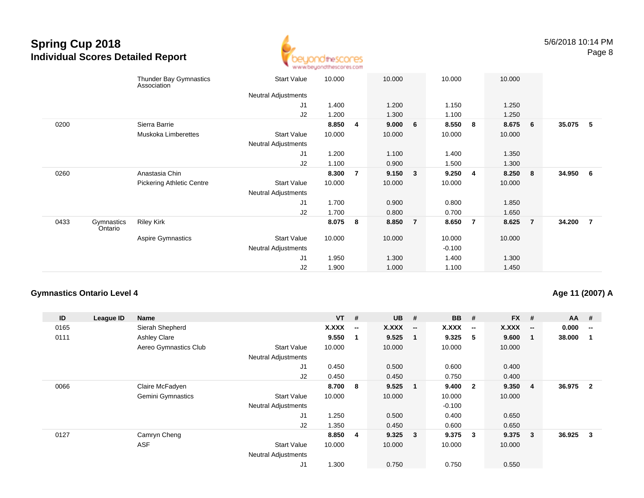

|      |                       | <b>Thunder Bay Gymnastics</b><br>Association | <b>Start Value</b>         | 10.000 |                | 10.000 |                | 10.000   |                | 10.000 |                |        |                |
|------|-----------------------|----------------------------------------------|----------------------------|--------|----------------|--------|----------------|----------|----------------|--------|----------------|--------|----------------|
|      |                       |                                              | <b>Neutral Adjustments</b> |        |                |        |                |          |                |        |                |        |                |
|      |                       |                                              | J1                         | 1.400  |                | 1.200  |                | 1.150    |                | 1.250  |                |        |                |
|      |                       |                                              | J2                         | 1.200  |                | 1.300  |                | 1.100    |                | 1.250  |                |        |                |
| 0200 |                       | Sierra Barrie                                |                            | 8.850  | 4              | 9.000  | 6              | 8.550    | 8              | 8.675  | 6              | 35.075 | 5              |
|      |                       | Muskoka Limberettes                          | <b>Start Value</b>         | 10.000 |                | 10.000 |                | 10.000   |                | 10.000 |                |        |                |
|      |                       |                                              | Neutral Adjustments        |        |                |        |                |          |                |        |                |        |                |
|      |                       |                                              | J1                         | 1.200  |                | 1.100  |                | 1.400    |                | 1.350  |                |        |                |
|      |                       |                                              | J2                         | 1.100  |                | 0.900  |                | 1.500    |                | 1.300  |                |        |                |
| 0260 |                       | Anastasia Chin                               |                            | 8.300  | $\overline{7}$ | 9.150  | 3              | 9.250    | 4              | 8.250  | - 8            | 34.950 | 6              |
|      |                       | <b>Pickering Athletic Centre</b>             | <b>Start Value</b>         | 10.000 |                | 10.000 |                | 10.000   |                | 10.000 |                |        |                |
|      |                       |                                              | Neutral Adjustments        |        |                |        |                |          |                |        |                |        |                |
|      |                       |                                              | J1                         | 1.700  |                | 0.900  |                | 0.800    |                | 1.850  |                |        |                |
|      |                       |                                              | J2                         | 1.700  |                | 0.800  |                | 0.700    |                | 1.650  |                |        |                |
| 0433 | Gymnastics<br>Ontario | <b>Riley Kirk</b>                            |                            | 8.075  | 8              | 8.850  | $\overline{7}$ | 8.650    | $\overline{7}$ | 8.625  | $\overline{7}$ | 34.200 | $\overline{7}$ |
|      |                       | Aspire Gymnastics                            | <b>Start Value</b>         | 10.000 |                | 10.000 |                | 10.000   |                | 10.000 |                |        |                |
|      |                       |                                              | <b>Neutral Adjustments</b> |        |                |        |                | $-0.100$ |                |        |                |        |                |
|      |                       |                                              | J <sub>1</sub>             | 1.950  |                | 1.300  |                | 1.400    |                | 1.300  |                |        |                |
|      |                       |                                              | J2                         | 1.900  |                | 1.000  |                | 1.100    |                | 1.450  |                |        |                |

#### **Gymnastics Ontario Level 4**

#### **Age 11 (2007) A**

| ID   | League ID | <b>Name</b>           |                            | $VT$ # |                          | <b>UB</b> | #                        | <b>BB</b> | #                        | <b>FX</b> | #                        | <b>AA</b> | #                        |
|------|-----------|-----------------------|----------------------------|--------|--------------------------|-----------|--------------------------|-----------|--------------------------|-----------|--------------------------|-----------|--------------------------|
| 0165 |           | Sierah Shepherd       |                            | X.XXX  | $\overline{\phantom{a}}$ | X.XXX     | $\overline{\phantom{a}}$ | X.XXX     | $\overline{\phantom{a}}$ | X.XXX     | $\overline{\phantom{a}}$ | 0.000     | $\overline{\phantom{a}}$ |
| 0111 |           | <b>Ashley Clare</b>   |                            | 9.550  | 1                        | 9.525     | - 1                      | 9.325     | -5                       | 9.600     | $\mathbf 1$              | 38.000    | 1                        |
|      |           | Aereo Gymnastics Club | <b>Start Value</b>         | 10.000 |                          | 10.000    |                          | 10.000    |                          | 10.000    |                          |           |                          |
|      |           |                       | <b>Neutral Adjustments</b> |        |                          |           |                          |           |                          |           |                          |           |                          |
|      |           |                       | J1                         | 0.450  |                          | 0.500     |                          | 0.600     |                          | 0.400     |                          |           |                          |
|      |           |                       | J2                         | 0.450  |                          | 0.450     |                          | 0.750     |                          | 0.400     |                          |           |                          |
| 0066 |           | Claire McFadyen       |                            | 8.700  | 8                        | 9.525     | $\blacksquare$           | 9.400     | $\overline{\mathbf{2}}$  | 9.350     | -4                       | 36.975    | $\overline{2}$           |
|      |           | Gemini Gymnastics     | <b>Start Value</b>         | 10.000 |                          | 10.000    |                          | 10.000    |                          | 10.000    |                          |           |                          |
|      |           |                       | <b>Neutral Adjustments</b> |        |                          |           |                          | $-0.100$  |                          |           |                          |           |                          |
|      |           |                       | J1                         | 1.250  |                          | 0.500     |                          | 0.400     |                          | 0.650     |                          |           |                          |
|      |           |                       | J2                         | 1.350  |                          | 0.450     |                          | 0.600     |                          | 0.650     |                          |           |                          |
| 0127 |           | Camryn Cheng          |                            | 8.850  | -4                       | 9.325     | $\overline{\mathbf{3}}$  | 9.375     | $\overline{\mathbf{3}}$  | 9.375     | -3                       | 36.925    | 3                        |
|      |           | <b>ASF</b>            | <b>Start Value</b>         | 10.000 |                          | 10.000    |                          | 10.000    |                          | 10.000    |                          |           |                          |
|      |           |                       | <b>Neutral Adjustments</b> |        |                          |           |                          |           |                          |           |                          |           |                          |
|      |           |                       | J <sub>1</sub>             | 1.300  |                          | 0.750     |                          | 0.750     |                          | 0.550     |                          |           |                          |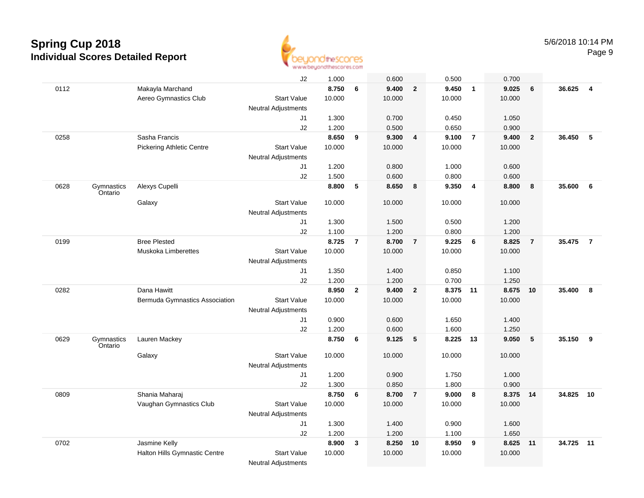

|      |                       |                                  | J2                         | 1.000  |                | 0.600  |                | 0.500    |                | 0.700  |                |           |                |
|------|-----------------------|----------------------------------|----------------------------|--------|----------------|--------|----------------|----------|----------------|--------|----------------|-----------|----------------|
| 0112 |                       | Makayla Marchand                 |                            | 8.750  | 6              | 9.400  | $\overline{2}$ | 9.450    | $\overline{1}$ | 9.025  | 6              | 36.625    | $\overline{4}$ |
|      |                       | Aereo Gymnastics Club            | <b>Start Value</b>         | 10.000 |                | 10.000 |                | 10.000   |                | 10.000 |                |           |                |
|      |                       |                                  | <b>Neutral Adjustments</b> |        |                |        |                |          |                |        |                |           |                |
|      |                       |                                  | J1                         | 1.300  |                | 0.700  |                | 0.450    |                | 1.050  |                |           |                |
|      |                       |                                  | J2                         | 1.200  |                | 0.500  |                | 0.650    |                | 0.900  |                |           |                |
| 0258 |                       | Sasha Francis                    |                            | 8.650  | 9              | 9.300  | 4              | 9.100    | $\overline{7}$ | 9.400  | $\overline{2}$ | 36.450    | 5              |
|      |                       | <b>Pickering Athletic Centre</b> | <b>Start Value</b>         | 10.000 |                | 10.000 |                | 10.000   |                | 10.000 |                |           |                |
|      |                       |                                  | <b>Neutral Adjustments</b> |        |                |        |                |          |                |        |                |           |                |
|      |                       |                                  | J1                         | 1.200  |                | 0.800  |                | 1.000    |                | 0.600  |                |           |                |
|      |                       |                                  | J2                         | 1.500  |                | 0.600  |                | 0.800    |                | 0.600  |                |           |                |
| 0628 | Gymnastics<br>Ontario | Alexys Cupelli                   |                            | 8.800  | 5              | 8.650  | 8              | 9.350    | $\overline{4}$ | 8.800  | 8              | 35.600    | 6              |
|      |                       | Galaxy                           | <b>Start Value</b>         | 10.000 |                | 10.000 |                | 10.000   |                | 10.000 |                |           |                |
|      |                       |                                  | <b>Neutral Adjustments</b> |        |                |        |                |          |                |        |                |           |                |
|      |                       |                                  | J1                         | 1.300  |                | 1.500  |                | 0.500    |                | 1.200  |                |           |                |
|      |                       |                                  | J2                         | 1.100  |                | 1.200  |                | 0.800    |                | 1.200  |                |           |                |
| 0199 |                       | <b>Bree Plested</b>              |                            | 8.725  | $\overline{7}$ | 8.700  | $\overline{7}$ | 9.225    | 6              | 8.825  | $\overline{7}$ | 35.475    | $\overline{7}$ |
|      |                       | Muskoka Limberettes              | <b>Start Value</b>         | 10.000 |                | 10.000 |                | 10.000   |                | 10.000 |                |           |                |
|      |                       |                                  | <b>Neutral Adjustments</b> |        |                |        |                |          |                |        |                |           |                |
|      |                       |                                  | J1                         | 1.350  |                | 1.400  |                | 0.850    |                | 1.100  |                |           |                |
|      |                       |                                  | J2                         | 1.200  |                | 1.200  |                | 0.700    |                | 1.250  |                |           |                |
| 0282 |                       | Dana Hawitt                      |                            | 8.950  | $\overline{2}$ | 9.400  | $\overline{2}$ | 8.375    | 11             | 8.675  | 10             | 35.400    | 8              |
|      |                       | Bermuda Gymnastics Association   | <b>Start Value</b>         | 10.000 |                | 10.000 |                | 10.000   |                | 10.000 |                |           |                |
|      |                       |                                  | <b>Neutral Adjustments</b> |        |                |        |                |          |                |        |                |           |                |
|      |                       |                                  | J1                         | 0.900  |                | 0.600  |                | 1.650    |                | 1.400  |                |           |                |
|      |                       |                                  | J2                         | 1.200  |                | 0.600  |                | 1.600    |                | 1.250  |                |           |                |
| 0629 | Gymnastics<br>Ontario | Lauren Mackey                    |                            | 8.750  | 6              | 9.125  | 5              | 8.225 13 |                | 9.050  | 5              | 35.150    | 9              |
|      |                       | Galaxy                           | <b>Start Value</b>         | 10.000 |                | 10.000 |                | 10.000   |                | 10.000 |                |           |                |
|      |                       |                                  | <b>Neutral Adjustments</b> |        |                |        |                |          |                |        |                |           |                |
|      |                       |                                  | J1                         | 1.200  |                | 0.900  |                | 1.750    |                | 1.000  |                |           |                |
|      |                       |                                  | J2                         | 1.300  |                | 0.850  |                | 1.800    |                | 0.900  |                |           |                |
| 0809 |                       | Shania Maharaj                   |                            | 8.750  | 6              | 8.700  | $\overline{7}$ | 9.000    | 8              | 8.375  | 14             | 34.825    | 10             |
|      |                       | Vaughan Gymnastics Club          | <b>Start Value</b>         | 10.000 |                | 10.000 |                | 10.000   |                | 10.000 |                |           |                |
|      |                       |                                  | <b>Neutral Adjustments</b> |        |                |        |                |          |                |        |                |           |                |
|      |                       |                                  | J1                         | 1.300  |                | 1.400  |                | 0.900    |                | 1.600  |                |           |                |
|      |                       |                                  | J2                         | 1.200  |                | 1.200  |                | 1.100    |                | 1.650  |                |           |                |
| 0702 |                       | Jasmine Kelly                    |                            | 8.900  | 3              | 8.250  | 10             | 8.950    | 9              | 8.625  | 11             | 34.725 11 |                |
|      |                       | Halton Hills Gymnastic Centre    | <b>Start Value</b>         | 10.000 |                | 10.000 |                | 10.000   |                | 10.000 |                |           |                |
|      |                       |                                  | Marriage Additional and a  |        |                |        |                |          |                |        |                |           |                |

Neutral Adjustments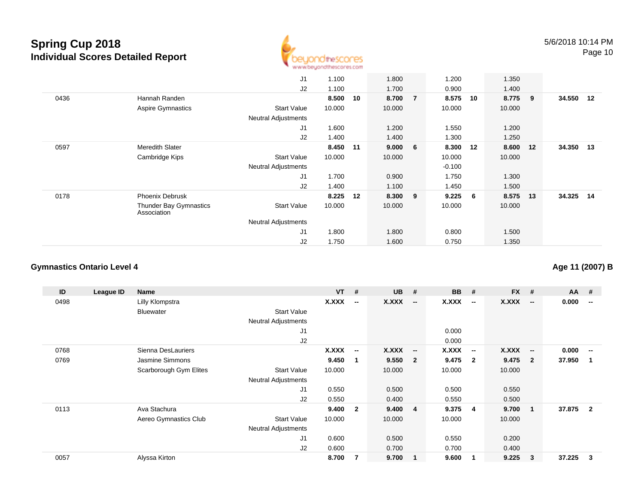

|      |                                              | J1                         | 1.100  |    | 1.800  |                | 1.200    |     | 1.350  |     |           |    |
|------|----------------------------------------------|----------------------------|--------|----|--------|----------------|----------|-----|--------|-----|-----------|----|
|      |                                              | J2                         | 1.100  |    | 1.700  |                | 0.900    |     | 1.400  |     |           |    |
| 0436 | Hannah Randen                                |                            | 8.500  | 10 | 8.700  | $\overline{7}$ | 8.575    | 10  | 8.775  | - 9 | 34.550 12 |    |
|      | Aspire Gymnastics                            | <b>Start Value</b>         | 10.000 |    | 10.000 |                | 10.000   |     | 10.000 |     |           |    |
|      |                                              | <b>Neutral Adjustments</b> |        |    |        |                |          |     |        |     |           |    |
|      |                                              | J1                         | 1.600  |    | 1.200  |                | 1.550    |     | 1.200  |     |           |    |
|      |                                              | J2                         | 1.400  |    | 1.400  |                | 1.300    |     | 1.250  |     |           |    |
| 0597 | Meredith Slater                              |                            | 8.450  | 11 | 9.000  | - 6            | 8.300    | 12  | 8.600  | 12  | 34.350 13 |    |
|      | Cambridge Kips                               | <b>Start Value</b>         | 10.000 |    | 10.000 |                | 10.000   |     | 10.000 |     |           |    |
|      |                                              | <b>Neutral Adjustments</b> |        |    |        |                | $-0.100$ |     |        |     |           |    |
|      |                                              | J1                         | 1.700  |    | 0.900  |                | 1.750    |     | 1.300  |     |           |    |
|      |                                              | J2                         | 1.400  |    | 1.100  |                | 1.450    |     | 1.500  |     |           |    |
| 0178 | Phoenix Debrusk                              |                            | 8.225  | 12 | 8.300  | 9              | 9.225    | - 6 | 8.575  | 13  | 34.325    | 14 |
|      | <b>Thunder Bay Gymnastics</b><br>Association | <b>Start Value</b>         | 10.000 |    | 10.000 |                | 10.000   |     | 10.000 |     |           |    |
|      |                                              | <b>Neutral Adjustments</b> |        |    |        |                |          |     |        |     |           |    |
|      |                                              | J1                         | 1.800  |    | 1.800  |                | 0.800    |     | 1.500  |     |           |    |
|      |                                              | J2                         | 1.750  |    | 1.600  |                | 0.750    |     | 1.350  |     |           |    |

#### **Gymnastics Ontario Level 4**

| ID   | League ID | Name                   |                            | <b>VT</b> | #                        | <b>UB</b> | #                        | <b>BB</b>    | #                        | <b>FX</b> | #                        | $AA$ # |                          |
|------|-----------|------------------------|----------------------------|-----------|--------------------------|-----------|--------------------------|--------------|--------------------------|-----------|--------------------------|--------|--------------------------|
| 0498 |           | Lilly Klompstra        |                            | X.XXX     | $\overline{\phantom{a}}$ | X.XXX     | $\overline{\phantom{a}}$ | X.XXX        | $\overline{\phantom{a}}$ | X.XXX     | $\overline{\phantom{a}}$ | 0.000  | $\sim$                   |
|      |           | <b>Bluewater</b>       | <b>Start Value</b>         |           |                          |           |                          |              |                          |           |                          |        |                          |
|      |           |                        | <b>Neutral Adjustments</b> |           |                          |           |                          |              |                          |           |                          |        |                          |
|      |           |                        | J1                         |           |                          |           |                          | 0.000        |                          |           |                          |        |                          |
|      |           |                        | J2                         |           |                          |           |                          | 0.000        |                          |           |                          |        |                          |
| 0768 |           | Sienna DesLauriers     |                            | X.XXX     | $\overline{\phantom{a}}$ | X.XXX     | $\overline{\phantom{a}}$ | <b>X.XXX</b> | $\overline{\phantom{a}}$ | X.XXX     | $\overline{\phantom{a}}$ | 0.000  | $\overline{\phantom{a}}$ |
| 0769 |           | Jasmine Simmons        |                            | 9.450     | 1                        | 9.550     | $\overline{\mathbf{2}}$  | 9.475        | $\overline{\mathbf{2}}$  | 9.475     | $\overline{2}$           | 37.950 | 1                        |
|      |           | Scarborough Gym Elites | <b>Start Value</b>         | 10.000    |                          | 10.000    |                          | 10.000       |                          | 10.000    |                          |        |                          |
|      |           |                        | <b>Neutral Adjustments</b> |           |                          |           |                          |              |                          |           |                          |        |                          |
|      |           |                        | J1                         | 0.550     |                          | 0.500     |                          | 0.500        |                          | 0.550     |                          |        |                          |
|      |           |                        | J <sub>2</sub>             | 0.550     |                          | 0.400     |                          | 0.550        |                          | 0.500     |                          |        |                          |
| 0113 |           | Ava Stachura           |                            | 9.400     | $\mathbf{2}$             | 9.400     | $\overline{4}$           | 9.375        | -4                       | 9.700     | -1                       | 37.875 | $\overline{2}$           |
|      |           | Aereo Gymnastics Club  | <b>Start Value</b>         | 10.000    |                          | 10.000    |                          | 10.000       |                          | 10.000    |                          |        |                          |
|      |           |                        | <b>Neutral Adjustments</b> |           |                          |           |                          |              |                          |           |                          |        |                          |
|      |           |                        | J <sub>1</sub>             | 0.600     |                          | 0.500     |                          | 0.550        |                          | 0.200     |                          |        |                          |
|      |           |                        | J <sub>2</sub>             | 0.600     |                          | 0.700     |                          | 0.700        |                          | 0.400     |                          |        |                          |
| 0057 |           | Alyssa Kirton          |                            | 8.700     |                          | 9.700     | $\overline{1}$           | 9.600        | -1                       | 9.225     | 3                        | 37.225 | 3                        |

#### **Age 11 (2007) B**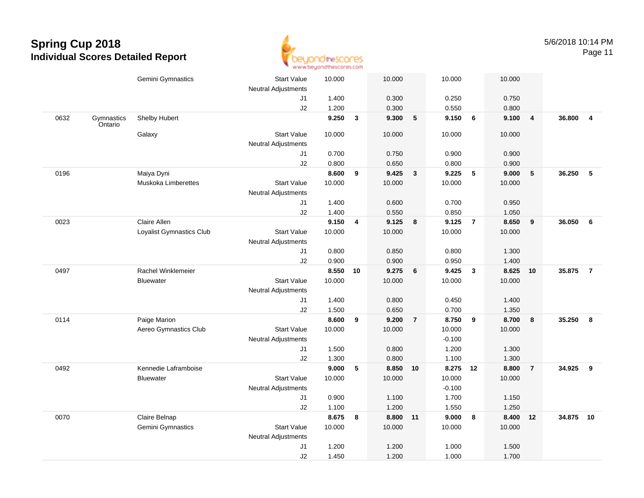

|      |                       | Gemini Gymnastics        | <b>Start Value</b>         | 10.000 |                         | 10.000   |                 | 10.000   |                          | 10.000 |                  |        |                 |
|------|-----------------------|--------------------------|----------------------------|--------|-------------------------|----------|-----------------|----------|--------------------------|--------|------------------|--------|-----------------|
|      |                       |                          | Neutral Adjustments        |        |                         |          |                 |          |                          |        |                  |        |                 |
|      |                       |                          | J1                         | 1.400  |                         | 0.300    |                 | 0.250    |                          | 0.750  |                  |        |                 |
|      |                       |                          | J2                         | 1.200  |                         | 0.300    |                 | 0.550    |                          | 0.800  |                  |        |                 |
| 0632 | Gymnastics<br>Ontario | Shelby Hubert            |                            | 9.250  | $\mathbf{3}$            | 9.300    | $5\phantom{.0}$ | 9.150    | $6\phantom{1}6$          | 9.100  | $\overline{4}$   | 36.800 | $\overline{4}$  |
|      |                       | Galaxy                   | <b>Start Value</b>         | 10.000 |                         | 10.000   |                 | 10.000   |                          | 10.000 |                  |        |                 |
|      |                       |                          | Neutral Adjustments        |        |                         |          |                 |          |                          |        |                  |        |                 |
|      |                       |                          | J1                         | 0.700  |                         | 0.750    |                 | 0.900    |                          | 0.900  |                  |        |                 |
|      |                       |                          | J2                         | 0.800  |                         | 0.650    |                 | 0.800    |                          | 0.900  |                  |        |                 |
| 0196 |                       | Maiya Dyni               |                            | 8.600  | 9                       | 9.425    | $\mathbf{3}$    | 9.225    | $\overline{\phantom{0}}$ | 9.000  | $5\phantom{.0}$  | 36.250 | $5\phantom{.0}$ |
|      |                       | Muskoka Limberettes      | <b>Start Value</b>         | 10.000 |                         | 10.000   |                 | 10.000   |                          | 10.000 |                  |        |                 |
|      |                       |                          | <b>Neutral Adjustments</b> |        |                         |          |                 |          |                          |        |                  |        |                 |
|      |                       |                          | J1                         | 1.400  |                         | 0.600    |                 | 0.700    |                          | 0.950  |                  |        |                 |
|      |                       |                          | J2                         | 1.400  |                         | 0.550    |                 | 0.850    |                          | 1.050  |                  |        |                 |
| 0023 |                       | Claire Allen             |                            | 9.150  | $\overline{\mathbf{4}}$ | 9.125    | 8               | 9.125    | $\overline{7}$           | 8.650  | $\boldsymbol{9}$ | 36.050 | 6               |
|      |                       | Loyalist Gymnastics Club | <b>Start Value</b>         | 10.000 |                         | 10.000   |                 | 10.000   |                          | 10.000 |                  |        |                 |
|      |                       |                          | <b>Neutral Adjustments</b> |        |                         |          |                 |          |                          |        |                  |        |                 |
|      |                       |                          | J1                         | 0.800  |                         | 0.850    |                 | 0.800    |                          | 1.300  |                  |        |                 |
|      |                       |                          | J2                         | 0.900  |                         | 0.900    |                 | 0.950    |                          | 1.400  |                  |        |                 |
| 0497 |                       | Rachel Winklemeier       |                            | 8.550  | 10                      | 9.275    | 6               | 9.425    | $\mathbf{3}$             | 8.625  | 10               | 35.875 | $\overline{7}$  |
|      |                       | <b>Bluewater</b>         | <b>Start Value</b>         | 10.000 |                         | 10.000   |                 | 10.000   |                          | 10.000 |                  |        |                 |
|      |                       |                          | <b>Neutral Adjustments</b> |        |                         |          |                 |          |                          |        |                  |        |                 |
|      |                       |                          | J1                         | 1.400  |                         | 0.800    |                 | 0.450    |                          | 1.400  |                  |        |                 |
|      |                       |                          | J2                         | 1.500  |                         | 0.650    |                 | 0.700    |                          | 1.350  |                  |        |                 |
| 0114 |                       | Paige Marion             |                            | 8.600  | 9                       | 9.200    | $\overline{7}$  | 8.750    | 9                        | 8.700  | 8                | 35.250 | 8               |
|      |                       | Aereo Gymnastics Club    | <b>Start Value</b>         | 10.000 |                         | 10.000   |                 | 10.000   |                          | 10.000 |                  |        |                 |
|      |                       |                          | <b>Neutral Adjustments</b> |        |                         |          |                 | $-0.100$ |                          |        |                  |        |                 |
|      |                       |                          | J1                         | 1.500  |                         | 0.800    |                 | 1.200    |                          | 1.300  |                  |        |                 |
|      |                       |                          | J2                         | 1.300  |                         | 0.800    |                 | 1.100    |                          | 1.300  |                  |        |                 |
| 0492 |                       | Kennedie Laframboise     |                            | 9.000  | 5                       | 8.850 10 |                 | 8.275    | 12                       | 8.800  | $\overline{7}$   | 34.925 | 9               |
|      |                       | <b>Bluewater</b>         | <b>Start Value</b>         | 10.000 |                         | 10.000   |                 | 10.000   |                          | 10.000 |                  |        |                 |
|      |                       |                          | <b>Neutral Adjustments</b> |        |                         |          |                 | $-0.100$ |                          |        |                  |        |                 |
|      |                       |                          | J1                         | 0.900  |                         | 1.100    |                 | 1.700    |                          | 1.150  |                  |        |                 |
|      |                       |                          | J2                         | 1.100  |                         | 1.200    |                 | 1.550    |                          | 1.250  |                  |        |                 |
| 0070 |                       | Claire Belnap            |                            | 8.675  | 8                       | 8.800 11 |                 | 9.000    | 8                        | 8.400  | 12               | 34.875 | 10              |
|      |                       | Gemini Gymnastics        | <b>Start Value</b>         | 10.000 |                         | 10.000   |                 | 10.000   |                          | 10.000 |                  |        |                 |
|      |                       |                          | <b>Neutral Adjustments</b> |        |                         |          |                 |          |                          |        |                  |        |                 |
|      |                       |                          | J1                         | 1.200  |                         | 1.200    |                 | 1.000    |                          | 1.500  |                  |        |                 |
|      |                       |                          | J2                         | 1.450  |                         | 1.200    |                 | 1.000    |                          | 1.700  |                  |        |                 |
|      |                       |                          |                            |        |                         |          |                 |          |                          |        |                  |        |                 |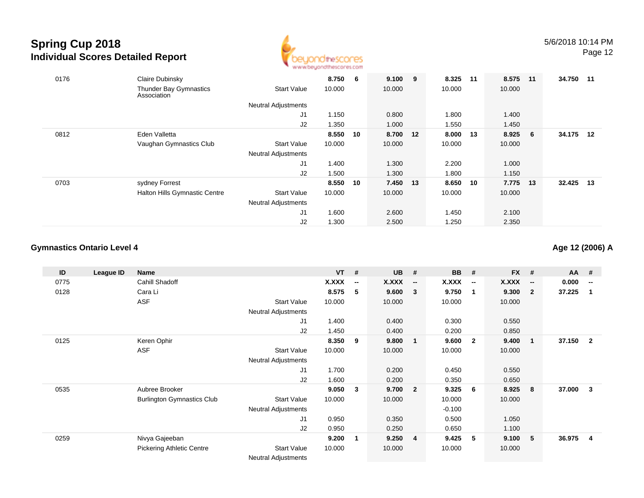

| 0176 | Claire Dubinsky                              |                            | 8.750  | 6  | 9.100    | 9  | 8.325  | 11  | 8.575  | 11  | 34.750 11 |    |
|------|----------------------------------------------|----------------------------|--------|----|----------|----|--------|-----|--------|-----|-----------|----|
|      | <b>Thunder Bay Gymnastics</b><br>Association | <b>Start Value</b>         | 10.000 |    | 10.000   |    | 10.000 |     | 10.000 |     |           |    |
|      |                                              | <b>Neutral Adjustments</b> |        |    |          |    |        |     |        |     |           |    |
|      |                                              | J1                         | 1.150  |    | 0.800    |    | 1.800  |     | 1.400  |     |           |    |
|      |                                              | J2                         | 1.350  |    | 1.000    |    | 1.550  |     | 1.450  |     |           |    |
| 0812 | Eden Valletta                                |                            | 8.550  | 10 | 8.700    | 12 | 8.000  | -13 | 8.925  | - 6 | 34.175    | 12 |
|      | Vaughan Gymnastics Club                      | <b>Start Value</b>         | 10.000 |    | 10.000   |    | 10.000 |     | 10.000 |     |           |    |
|      |                                              | <b>Neutral Adjustments</b> |        |    |          |    |        |     |        |     |           |    |
|      |                                              | J <sub>1</sub>             | 1.400  |    | 1.300    |    | 2.200  |     | 1.000  |     |           |    |
|      |                                              | J2                         | 1.500  |    | 1.300    |    | 1.800  |     | 1.150  |     |           |    |
| 0703 | sydney Forrest                               |                            | 8.550  | 10 | 7.450 13 |    | 8.650  | 10  | 7.775  | 13  | 32.425    | 13 |
|      | <b>Halton Hills Gymnastic Centre</b>         | <b>Start Value</b>         | 10.000 |    | 10.000   |    | 10.000 |     | 10.000 |     |           |    |
|      |                                              | <b>Neutral Adjustments</b> |        |    |          |    |        |     |        |     |           |    |
|      |                                              | J <sub>1</sub>             | 1.600  |    | 2.600    |    | 1.450  |     | 2.100  |     |           |    |
|      |                                              | J2                         | 1.300  |    | 2.500    |    | 1.250  |     | 2.350  |     |           |    |
|      |                                              |                            |        |    |          |    |        |     |        |     |           |    |

#### **Gymnastics Ontario Level 4**

**Age 12 (2006) A**

| ID   | League ID | Name                              |                            | <b>VT</b> | #                        | <b>UB</b> | #                        | <b>BB</b> | #                        | $FX$ # |                          | AA     | - #                      |
|------|-----------|-----------------------------------|----------------------------|-----------|--------------------------|-----------|--------------------------|-----------|--------------------------|--------|--------------------------|--------|--------------------------|
| 0775 |           | Cahill Shadoff                    |                            | X.XXX     | $\overline{\phantom{a}}$ | X.XXX     | $\overline{\phantom{a}}$ | X.XXX     | $\overline{\phantom{a}}$ | X.XXX  | $\overline{\phantom{a}}$ | 0.000  | $\overline{\phantom{a}}$ |
| 0128 |           | Cara Li                           |                            | 8.575     | 5                        | 9.600     | - 3                      | 9.750     | $\mathbf 1$              | 9.300  | $\overline{2}$           | 37.225 | 1                        |
|      |           | <b>ASF</b>                        | <b>Start Value</b>         | 10.000    |                          | 10.000    |                          | 10.000    |                          | 10.000 |                          |        |                          |
|      |           |                                   | <b>Neutral Adjustments</b> |           |                          |           |                          |           |                          |        |                          |        |                          |
|      |           |                                   | J1                         | 1.400     |                          | 0.400     |                          | 0.300     |                          | 0.550  |                          |        |                          |
|      |           |                                   | J2                         | 1.450     |                          | 0.400     |                          | 0.200     |                          | 0.850  |                          |        |                          |
| 0125 |           | Keren Ophir                       |                            | 8.350     | 9                        | 9.800     | $\overline{\mathbf{1}}$  | 9.600     | $\overline{2}$           | 9.400  | -1                       | 37.150 | $\overline{2}$           |
|      |           | <b>ASF</b>                        | <b>Start Value</b>         | 10.000    |                          | 10.000    |                          | 10.000    |                          | 10.000 |                          |        |                          |
|      |           |                                   | Neutral Adjustments        |           |                          |           |                          |           |                          |        |                          |        |                          |
|      |           |                                   | J1                         | 1.700     |                          | 0.200     |                          | 0.450     |                          | 0.550  |                          |        |                          |
|      |           |                                   | J2                         | 1.600     |                          | 0.200     |                          | 0.350     |                          | 0.650  |                          |        |                          |
| 0535 |           | Aubree Brooker                    |                            | 9.050     | $\mathbf{3}$             | 9.700     | $\overline{\mathbf{2}}$  | 9.325     | 6                        | 8.925  | 8                        | 37.000 | 3                        |
|      |           | <b>Burlington Gymnastics Club</b> | <b>Start Value</b>         | 10.000    |                          | 10.000    |                          | 10.000    |                          | 10.000 |                          |        |                          |
|      |           |                                   | Neutral Adjustments        |           |                          |           |                          | $-0.100$  |                          |        |                          |        |                          |
|      |           |                                   | J <sub>1</sub>             | 0.950     |                          | 0.350     |                          | 0.500     |                          | 1.050  |                          |        |                          |
|      |           |                                   | J2                         | 0.950     |                          | 0.250     |                          | 0.650     |                          | 1.100  |                          |        |                          |
| 0259 |           | Nivya Gajeeban                    |                            | 9.200     | -1                       | 9.250     | -4                       | 9.425     | 5                        | 9.100  | 5                        | 36.975 | 4                        |
|      |           | <b>Pickering Athletic Centre</b>  | <b>Start Value</b>         | 10.000    |                          | 10.000    |                          | 10.000    |                          | 10.000 |                          |        |                          |
|      |           |                                   | <b>Neutral Adjustments</b> |           |                          |           |                          |           |                          |        |                          |        |                          |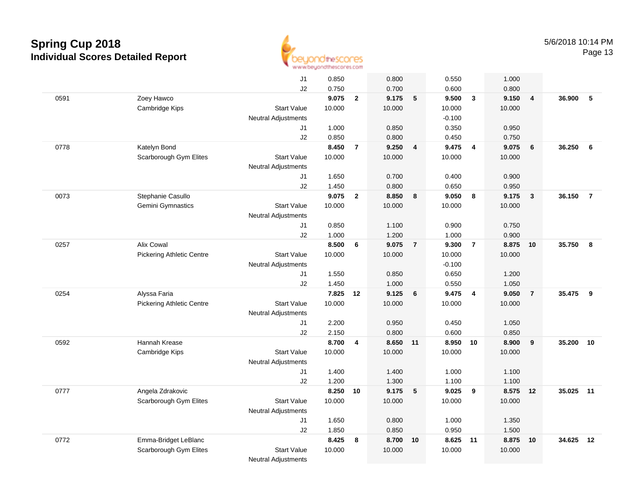

|      |                                  | J1                               | 0.850          |                | 0.800          |                | 0.550          |                | 1.000          |                |           |                |
|------|----------------------------------|----------------------------------|----------------|----------------|----------------|----------------|----------------|----------------|----------------|----------------|-----------|----------------|
|      |                                  | J2                               | 0.750          |                | 0.700          |                | 0.600          |                | 0.800          |                |           |                |
| 0591 | Zoey Hawco                       |                                  | 9.075          | $\mathbf{2}$   | 9.175          | 5              | 9.500          | $\mathbf{3}$   | 9.150          | $\overline{4}$ | 36.900    | 5              |
|      | Cambridge Kips                   | <b>Start Value</b>               | 10.000         |                | 10.000         |                | 10.000         |                | 10.000         |                |           |                |
|      |                                  | Neutral Adjustments              |                |                |                |                | $-0.100$       |                |                |                |           |                |
|      |                                  | J1                               | 1.000          |                | 0.850          |                | 0.350          |                | 0.950          |                |           |                |
|      |                                  | J2                               | 0.850          |                | 0.800          |                | 0.450          |                | 0.750          |                |           |                |
| 0778 | Katelyn Bond                     |                                  | 8.450          | $\overline{7}$ | 9.250          | $\overline{4}$ | 9.475          | $\overline{4}$ | 9.075          | 6              | 36.250    | 6              |
|      | Scarborough Gym Elites           | <b>Start Value</b>               | 10.000         |                | 10.000         |                | 10.000         |                | 10.000         |                |           |                |
|      |                                  | <b>Neutral Adjustments</b>       |                |                |                |                |                |                |                |                |           |                |
|      |                                  | J1                               | 1.650          |                | 0.700          |                | 0.400          |                | 0.900          |                |           |                |
| 0073 | Stephanie Casullo                | J2                               | 1.450<br>9.075 | $\overline{2}$ | 0.800<br>8.850 | 8              | 0.650<br>9.050 | 8              | 0.950<br>9.175 | $\mathbf{3}$   | 36.150    | $\overline{7}$ |
|      | Gemini Gymnastics                | <b>Start Value</b>               | 10.000         |                | 10.000         |                | 10.000         |                | 10.000         |                |           |                |
|      |                                  | <b>Neutral Adjustments</b>       |                |                |                |                |                |                |                |                |           |                |
|      |                                  | J1                               | 0.850          |                | 1.100          |                | 0.900          |                | 0.750          |                |           |                |
|      |                                  | J2                               | 1.000          |                | 1.200          |                | 1.000          |                | 0.900          |                |           |                |
| 0257 | <b>Alix Cowal</b>                |                                  | 8.500          | 6              | 9.075          | $\overline{7}$ | 9.300          | $\overline{7}$ | 8.875          | 10             | 35.750    | 8              |
|      | <b>Pickering Athletic Centre</b> | <b>Start Value</b>               | 10.000         |                | 10.000         |                | 10.000         |                | 10.000         |                |           |                |
|      |                                  | <b>Neutral Adjustments</b>       |                |                |                |                | $-0.100$       |                |                |                |           |                |
|      |                                  | J1                               | 1.550          |                | 0.850          |                | 0.650          |                | 1.200          |                |           |                |
|      |                                  | J2                               | 1.450          |                | 1.000          |                | 0.550          |                | 1.050          |                |           |                |
| 0254 | Alyssa Faria                     |                                  | 7.825          | 12             | 9.125          | 6              | 9.475          | $\overline{4}$ | 9.050          | $\overline{7}$ | 35.475    | 9              |
|      | Pickering Athletic Centre        | <b>Start Value</b>               | 10.000         |                | 10.000         |                | 10.000         |                | 10.000         |                |           |                |
|      |                                  | <b>Neutral Adjustments</b>       |                |                |                |                |                |                |                |                |           |                |
|      |                                  | J1                               | 2.200          |                | 0.950          |                | 0.450          |                | 1.050          |                |           |                |
|      |                                  | J2                               | 2.150          |                | 0.800          |                | 0.600          |                | 0.850          |                |           |                |
| 0592 | Hannah Krease                    |                                  | 8.700          | 4              | 8.650 11       |                | 8.950 10       |                | 8.900          | 9              | 35.200    | 10             |
|      | Cambridge Kips                   | <b>Start Value</b>               | 10.000         |                | 10.000         |                | 10.000         |                | 10.000         |                |           |                |
|      |                                  | <b>Neutral Adjustments</b><br>J1 | 1.400          |                | 1.400          |                |                |                | 1.100          |                |           |                |
|      |                                  | J2                               | 1.200          |                | 1.300          |                | 1.000<br>1.100 |                | 1.100          |                |           |                |
| 0777 | Angela Zdrakovic                 |                                  | 8.250          | 10             | 9.175          | 5              | 9.025          | 9              | 8.575          | 12             | 35.025 11 |                |
|      | Scarborough Gym Elites           | <b>Start Value</b>               | 10.000         |                | 10.000         |                | 10.000         |                | 10.000         |                |           |                |
|      |                                  | <b>Neutral Adjustments</b>       |                |                |                |                |                |                |                |                |           |                |
|      |                                  | J1                               | 1.650          |                | 0.800          |                | 1.000          |                | 1.350          |                |           |                |
|      |                                  | J2                               | 1.850          |                | 0.850          |                | 0.950          |                | 1.500          |                |           |                |
| 0772 | Emma-Bridget LeBlanc             |                                  | 8.425          | 8              | 8.700          | 10             | 8.625 11       |                | 8.875          | 10             | 34.625    | 12             |
|      | Scarborough Gym Elites           | <b>Start Value</b>               | 10.000         |                | 10.000         |                | 10.000         |                | 10.000         |                |           |                |
|      |                                  | <b>Neutral Adjustments</b>       |                |                |                |                |                |                |                |                |           |                |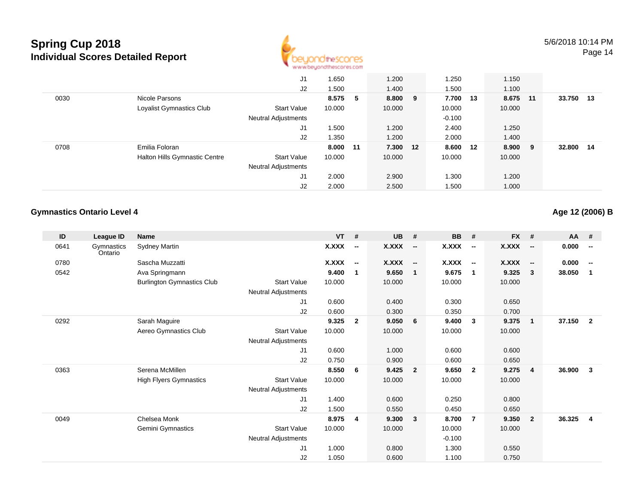

|      |                                      | J1                         | 1.650    | 1.200    | 1.250    |    | 1.150  |     |        |      |
|------|--------------------------------------|----------------------------|----------|----------|----------|----|--------|-----|--------|------|
|      |                                      | J2                         | 500،،    | 1.400    | 1.500    |    | 1.100  |     |        |      |
| 0030 | Nicole Parsons                       |                            | 8.575 5  | 8.800 9  | 7.700 13 |    | 8.675  | 11  | 33.750 | - 13 |
|      | Loyalist Gymnastics Club             | <b>Start Value</b>         | 10.000   | 10.000   | 10.000   |    | 10.000 |     |        |      |
|      |                                      | <b>Neutral Adjustments</b> |          |          | $-0.100$ |    |        |     |        |      |
|      |                                      | J <sub>1</sub>             | .500     | 1.200    | 2.400    |    | 1.250  |     |        |      |
|      |                                      | J2                         | .350     | 1.200    | 2.000    |    | 1.400  |     |        |      |
| 0708 | Emilia Foloran                       |                            | 8.000 11 | 7.300 12 | 8.600    | 12 | 8.900  | - 9 | 32.800 | 14   |
|      | <b>Halton Hills Gymnastic Centre</b> | <b>Start Value</b>         | 10.000   | 10.000   | 10.000   |    | 10.000 |     |        |      |
|      |                                      | <b>Neutral Adjustments</b> |          |          |          |    |        |     |        |      |
|      |                                      | J <sub>1</sub>             | 2.000    | 2.900    | 1.300    |    | 1.200  |     |        |      |
|      |                                      | J2                         | 2.000    | 2.500    | 1.500    |    | 1.000  |     |        |      |

#### **Gymnastics Ontario Level 4**

**Age 12 (2006) B**

| ID   | League ID             | Name                              |                            | <b>VT</b>    | #                        | <b>UB</b>    | #                        | <b>BB</b>    | #                        | <b>FX</b>    | #                        | <b>AA</b> | #                        |
|------|-----------------------|-----------------------------------|----------------------------|--------------|--------------------------|--------------|--------------------------|--------------|--------------------------|--------------|--------------------------|-----------|--------------------------|
| 0641 | Gymnastics<br>Ontario | <b>Sydney Martin</b>              |                            | <b>X.XXX</b> | $\overline{\phantom{a}}$ | <b>X.XXX</b> | $\overline{\phantom{a}}$ | <b>X.XXX</b> | $\overline{\phantom{a}}$ | <b>X.XXX</b> | $\overline{\phantom{a}}$ | 0.000     | $\overline{\phantom{a}}$ |
| 0780 |                       | Sascha Muzzatti                   |                            | X.XXX        | $\overline{\phantom{a}}$ | <b>X.XXX</b> | $\sim$                   | <b>X.XXX</b> | $\sim$                   | <b>X.XXX</b> | $\overline{\phantom{a}}$ | 0.000     | $\overline{\phantom{a}}$ |
| 0542 |                       | Ava Springmann                    |                            | 9.400        | 1                        | 9.650        | $\overline{\mathbf{1}}$  | 9.675        | $\mathbf{1}$             | 9.325        | 3                        | 38.050    | 1                        |
|      |                       | <b>Burlington Gymnastics Club</b> | <b>Start Value</b>         | 10.000       |                          | 10.000       |                          | 10.000       |                          | 10.000       |                          |           |                          |
|      |                       |                                   | Neutral Adjustments        |              |                          |              |                          |              |                          |              |                          |           |                          |
|      |                       |                                   | J <sub>1</sub>             | 0.600        |                          | 0.400        |                          | 0.300        |                          | 0.650        |                          |           |                          |
|      |                       |                                   | J2                         | 0.600        |                          | 0.300        |                          | 0.350        |                          | 0.700        |                          |           |                          |
| 0292 |                       | Sarah Maguire                     |                            | 9.325        | $\mathbf{2}$             | 9.050        | 6                        | 9.400        | $\mathbf{3}$             | 9.375        | $\mathbf 1$              | 37.150    | $\overline{2}$           |
|      |                       | Aereo Gymnastics Club             | <b>Start Value</b>         | 10.000       |                          | 10.000       |                          | 10.000       |                          | 10.000       |                          |           |                          |
|      |                       |                                   | Neutral Adjustments        |              |                          |              |                          |              |                          |              |                          |           |                          |
|      |                       |                                   | J <sub>1</sub>             | 0.600        |                          | 1.000        |                          | 0.600        |                          | 0.600        |                          |           |                          |
|      |                       |                                   | J2                         | 0.750        |                          | 0.900        |                          | 0.600        |                          | 0.650        |                          |           |                          |
| 0363 |                       | Serena McMillen                   |                            | 8.550        | 6                        | 9.425        | $\overline{2}$           | 9.650        | $\overline{2}$           | 9.275        | $\overline{4}$           | 36.900    | 3                        |
|      |                       | <b>High Flyers Gymnastics</b>     | <b>Start Value</b>         | 10.000       |                          | 10.000       |                          | 10.000       |                          | 10.000       |                          |           |                          |
|      |                       |                                   | Neutral Adjustments        |              |                          |              |                          |              |                          |              |                          |           |                          |
|      |                       |                                   | J1                         | 1.400        |                          | 0.600        |                          | 0.250        |                          | 0.800        |                          |           |                          |
|      |                       |                                   | J <sub>2</sub>             | 1.500        |                          | 0.550        |                          | 0.450        |                          | 0.650        |                          |           |                          |
| 0049 |                       | Chelsea Monk                      |                            | 8.975        | 4                        | 9.300        | $\overline{\mathbf{3}}$  | 8.700        | $\overline{7}$           | 9.350        | $\overline{2}$           | 36.325    | 4                        |
|      |                       | Gemini Gymnastics                 | <b>Start Value</b>         | 10.000       |                          | 10.000       |                          | 10.000       |                          | 10.000       |                          |           |                          |
|      |                       |                                   | <b>Neutral Adjustments</b> |              |                          |              |                          | $-0.100$     |                          |              |                          |           |                          |
|      |                       |                                   | J <sub>1</sub>             | 1.000        |                          | 0.800        |                          | 1.300        |                          | 0.550        |                          |           |                          |
|      |                       |                                   | J2                         | 1.050        |                          | 0.600        |                          | 1.100        |                          | 0.750        |                          |           |                          |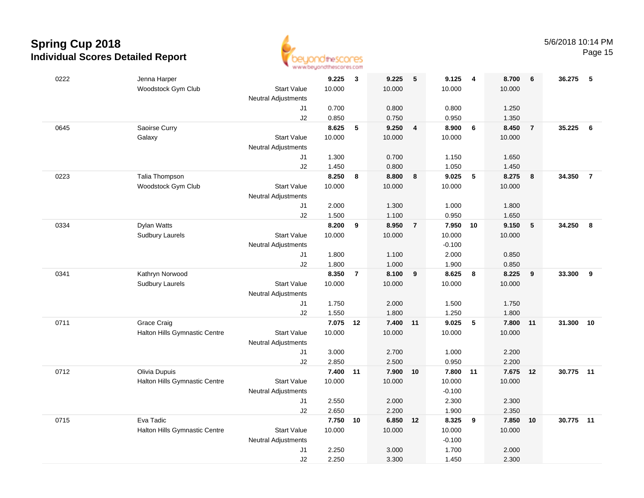

|      |                               |                                  | a a ann an chanta ann an control ann an control |                |                    |                         |                   |                 |                 |                |           |                  |
|------|-------------------------------|----------------------------------|-------------------------------------------------|----------------|--------------------|-------------------------|-------------------|-----------------|-----------------|----------------|-----------|------------------|
| 0222 | Jenna Harper                  |                                  | 9.225                                           | $\mathbf{3}$   | 9.225              | $\sqrt{5}$              | 9.125             | 4               | 8.700           | 6              | 36.275    | -5               |
|      | Woodstock Gym Club            | <b>Start Value</b>               | 10.000                                          |                | 10.000             |                         | 10.000            |                 | 10.000          |                |           |                  |
|      |                               | <b>Neutral Adjustments</b>       |                                                 |                |                    |                         |                   |                 |                 |                |           |                  |
|      |                               | J1                               | 0.700                                           |                | 0.800              |                         | 0.800             |                 | 1.250           |                |           |                  |
|      |                               | J2                               | 0.850                                           |                | 0.750              |                         | 0.950             |                 | 1.350           |                |           |                  |
| 0645 | Saoirse Curry                 |                                  | 8.625                                           | 5              | 9.250              | $\overline{\mathbf{4}}$ | 8.900             | 6               | 8.450           | $\overline{7}$ | 35.225    | $6\phantom{.0}6$ |
|      | Galaxy                        | <b>Start Value</b>               | 10.000                                          |                | 10.000             |                         | 10.000            |                 | 10.000          |                |           |                  |
|      |                               | <b>Neutral Adjustments</b>       |                                                 |                |                    |                         |                   |                 |                 |                |           |                  |
|      |                               | J1                               | 1.300                                           |                | 0.700              |                         | 1.150             |                 | 1.650           |                |           |                  |
|      |                               | J2                               | 1.450                                           |                | 0.800              |                         | 1.050             |                 | 1.450           |                |           |                  |
| 0223 | Talia Thompson                |                                  | 8.250                                           | 8              | 8.800              | 8                       | 9.025             | $5\phantom{.0}$ | 8.275           | 8              | 34.350    | $\overline{7}$   |
|      | Woodstock Gym Club            | <b>Start Value</b>               | 10.000                                          |                | 10.000             |                         | 10.000            |                 | 10.000          |                |           |                  |
|      |                               | <b>Neutral Adjustments</b>       |                                                 |                |                    |                         |                   |                 |                 |                |           |                  |
|      |                               | J1                               | 2.000                                           |                | 1.300              |                         | 1.000             |                 | 1.800           |                |           |                  |
|      |                               | J2                               | 1.500                                           |                | 1.100              |                         | 0.950             |                 | 1.650           |                |           |                  |
| 0334 | Dylan Watts                   |                                  | 8.200                                           | 9              | 8.950              | $\overline{7}$          | 7.950             | 10              | 9.150           | 5              | 34.250    | 8                |
|      | <b>Sudbury Laurels</b>        | <b>Start Value</b>               | 10.000                                          |                | 10.000             |                         | 10.000            |                 | 10.000          |                |           |                  |
|      |                               | <b>Neutral Adjustments</b>       |                                                 |                |                    |                         | $-0.100$          |                 |                 |                |           |                  |
|      |                               | J1                               | 1.800                                           |                | 1.100              |                         | 2.000             |                 | 0.850           |                |           |                  |
|      |                               | J2                               | 1.800                                           |                | 1.000              |                         | 1.900             |                 | 0.850           |                |           |                  |
| 0341 | Kathryn Norwood               |                                  | 8.350                                           | $\overline{7}$ | 8.100              | 9                       | 8.625             | 8               | 8.225           | 9              | 33.300    | 9                |
|      | <b>Sudbury Laurels</b>        | <b>Start Value</b>               | 10.000                                          |                | 10.000             |                         | 10.000            |                 | 10.000          |                |           |                  |
|      |                               | <b>Neutral Adjustments</b>       |                                                 |                |                    |                         |                   |                 |                 |                |           |                  |
|      |                               | J1                               | 1.750                                           |                | 2.000              |                         | 1.500             |                 | 1.750           |                |           |                  |
|      |                               | J2                               | 1.550                                           |                | 1.800              |                         | 1.250             |                 | 1.800           |                |           |                  |
| 0711 | Grace Craig                   |                                  | 7.075 12                                        |                | 7.400 11           |                         | 9.025             | 5               | 7.800           | 11             | 31.300    | 10               |
|      | Halton Hills Gymnastic Centre | <b>Start Value</b>               | 10.000                                          |                | 10.000             |                         | 10.000            |                 | 10.000          |                |           |                  |
|      |                               | <b>Neutral Adjustments</b>       |                                                 |                |                    |                         |                   |                 |                 |                |           |                  |
|      |                               | J1                               | 3.000<br>2.850                                  |                | 2.700              |                         | 1.000             |                 | 2.200           |                |           |                  |
|      |                               | J2                               | 7.400 11                                        |                | 2.500              |                         | 0.950             |                 | 2.200           |                | 30.775 11 |                  |
| 0712 | Olivia Dupuis                 | <b>Start Value</b>               | 10.000                                          |                | 7.900 10<br>10.000 |                         | 7.800<br>10.000   | 11              | 7.675<br>10.000 | 12             |           |                  |
|      | Halton Hills Gymnastic Centre |                                  |                                                 |                |                    |                         |                   |                 |                 |                |           |                  |
|      |                               | <b>Neutral Adjustments</b><br>J1 | 2.550                                           |                | 2.000              |                         | $-0.100$<br>2.300 |                 | 2.300           |                |           |                  |
|      |                               | J2                               | 2.650                                           |                | 2.200              |                         | 1.900             |                 | 2.350           |                |           |                  |
| 0715 | Eva Tadic                     |                                  | 7.750                                           | 10             | 6.850              | 12                      | 8.325             | 9               | 7.850           | 10             | 30.775 11 |                  |
|      | Halton Hills Gymnastic Centre | <b>Start Value</b>               | 10.000                                          |                | 10.000             |                         | 10.000            |                 | 10.000          |                |           |                  |
|      |                               | <b>Neutral Adjustments</b>       |                                                 |                |                    |                         | $-0.100$          |                 |                 |                |           |                  |
|      |                               | J1                               | 2.250                                           |                | 3.000              |                         | 1.700             |                 | 2.000           |                |           |                  |
|      |                               | J2                               | 2.250                                           |                | 3.300              |                         | 1.450             |                 | 2.300           |                |           |                  |
|      |                               |                                  |                                                 |                |                    |                         |                   |                 |                 |                |           |                  |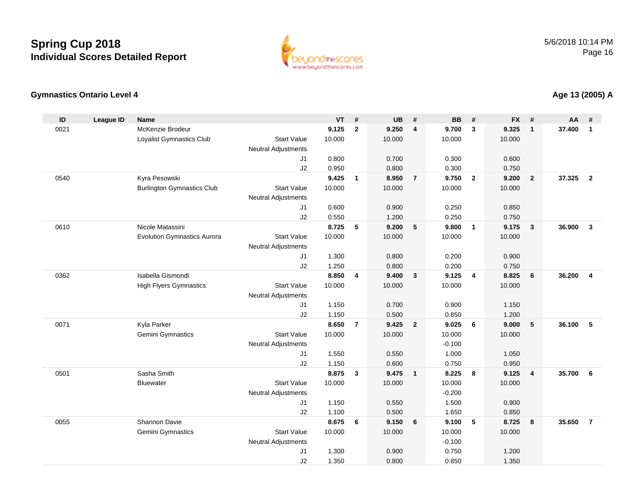

#### **Gymnastics Ontario Level 4**

| ID   | <b>League ID</b> | <b>Name</b>                        |                            | <b>VT</b>      | #                       | <b>UB</b>      | #                       | <b>BB</b>      | #              | <b>FX</b>      | #               | AA     | #                       |
|------|------------------|------------------------------------|----------------------------|----------------|-------------------------|----------------|-------------------------|----------------|----------------|----------------|-----------------|--------|-------------------------|
| 0021 |                  | McKenzie Brodeur                   |                            | 9.125          | $\mathbf{2}$            | 9.250          | $\overline{4}$          | 9.700          | $\mathbf{3}$   | 9.325          | $\mathbf{1}$    | 37.400 | $\mathbf{1}$            |
|      |                  | Loyalist Gymnastics Club           | <b>Start Value</b>         | 10.000         |                         | 10.000         |                         | 10.000         |                | 10.000         |                 |        |                         |
|      |                  |                                    | <b>Neutral Adjustments</b> |                |                         |                |                         |                |                |                |                 |        |                         |
|      |                  |                                    | J <sub>1</sub>             | 0.800          |                         | 0.700          |                         | 0.300          |                | 0.600          |                 |        |                         |
|      |                  |                                    | J2                         | 0.950          |                         | 0.800          |                         | 0.300          |                | 0.750          |                 |        |                         |
| 0540 |                  | Kyra Pesowski                      |                            | 9.425          | $\mathbf{1}$            | 8.950          | $\overline{7}$          | 9.750          | $\overline{2}$ | 9.200          | $\overline{2}$  | 37.325 | $\overline{2}$          |
|      |                  | <b>Burlington Gymnastics Club</b>  | <b>Start Value</b>         | 10.000         |                         | 10.000         |                         | 10.000         |                | 10.000         |                 |        |                         |
|      |                  |                                    | <b>Neutral Adjustments</b> |                |                         |                |                         |                |                |                |                 |        |                         |
|      |                  |                                    | J1<br>J2                   | 0.600<br>0.550 |                         | 0.900          |                         | 0.250<br>0.250 |                | 0.850<br>0.750 |                 |        |                         |
| 0610 |                  | Nicole Matassini                   |                            | 8.725          | 5                       | 1.200<br>9.200 | 5                       | 9.800          | $\mathbf{1}$   | 9.175          | $\mathbf{3}$    | 36.900 | 3                       |
|      |                  | <b>Evolution Gymnastics Aurora</b> | <b>Start Value</b>         | 10.000         |                         | 10.000         |                         | 10.000         |                | 10.000         |                 |        |                         |
|      |                  |                                    | <b>Neutral Adjustments</b> |                |                         |                |                         |                |                |                |                 |        |                         |
|      |                  |                                    | J1                         | 1.300          |                         | 0.800          |                         | 0.200          |                | 0.900          |                 |        |                         |
|      |                  |                                    | J2                         | 1.250          |                         | 0.800          |                         | 0.200          |                | 0.750          |                 |        |                         |
| 0362 |                  | Isabella Gismondi                  |                            | 8.850          | $\overline{\mathbf{4}}$ | 9.400          | $\mathbf{3}$            | 9.125          | $\overline{4}$ | 8.825          | 6               | 36.200 | $\overline{\mathbf{4}}$ |
|      |                  | <b>High Flyers Gymnastics</b>      | <b>Start Value</b>         | 10.000         |                         | 10.000         |                         | 10.000         |                | 10.000         |                 |        |                         |
|      |                  |                                    | <b>Neutral Adjustments</b> |                |                         |                |                         |                |                |                |                 |        |                         |
|      |                  |                                    | J <sub>1</sub>             | 1.150          |                         | 0.700          |                         | 0.900          |                | 1.150          |                 |        |                         |
|      |                  |                                    | J2                         | 1.150          |                         | 0.500          |                         | 0.850          |                | 1.200          |                 |        |                         |
| 0071 |                  | Kyla Parker                        |                            | 8.650          | $\overline{7}$          | 9.425          | $\overline{\mathbf{2}}$ | 9.025          | 6              | 9.000          | $5\phantom{.0}$ | 36.100 | 5                       |
|      |                  | Gemini Gymnastics                  | <b>Start Value</b>         | 10.000         |                         | 10.000         |                         | 10.000         |                | 10.000         |                 |        |                         |
|      |                  |                                    | <b>Neutral Adjustments</b> |                |                         |                |                         | $-0.100$       |                |                |                 |        |                         |
|      |                  |                                    | J1                         | 1.550          |                         | 0.550          |                         | 1.000          |                | 1.050          |                 |        |                         |
|      |                  |                                    | J2                         | 1.150          |                         | 0.600          |                         | 0.750          |                | 0.950          |                 |        |                         |
| 0501 |                  | Sasha Smith                        |                            | 8.875          | 3                       | 9.475          | $\overline{1}$          | 8.225          | - 8            | 9.125          | 4               | 35.700 | 6                       |
|      |                  | <b>Bluewater</b>                   | <b>Start Value</b>         | 10.000         |                         | 10.000         |                         | 10.000         |                | 10.000         |                 |        |                         |
|      |                  |                                    | <b>Neutral Adjustments</b> |                |                         |                |                         | $-0.200$       |                |                |                 |        |                         |
|      |                  |                                    | J1<br>J2                   | 1.150<br>1.100 |                         | 0.550          |                         | 1.500<br>1.650 |                | 0.900<br>0.850 |                 |        |                         |
| 0055 |                  | Shannon Davie                      |                            | 8.675          | 6                       | 0.500<br>9.150 | 6                       | 9.100          | 5              | 8.725          | 8               | 35.650 | $\overline{7}$          |
|      |                  | Gemini Gymnastics                  | <b>Start Value</b>         | 10.000         |                         | 10.000         |                         | 10.000         |                | 10.000         |                 |        |                         |
|      |                  |                                    | <b>Neutral Adjustments</b> |                |                         |                |                         | $-0.100$       |                |                |                 |        |                         |
|      |                  |                                    | J1                         | 1.300          |                         | 0.900          |                         | 0.750          |                | 1.200          |                 |        |                         |
|      |                  |                                    | J2                         | 1.350          |                         | 0.800          |                         | 0.850          |                | 1.350          |                 |        |                         |
|      |                  |                                    |                            |                |                         |                |                         |                |                |                |                 |        |                         |

#### **Age 13 (2005) A**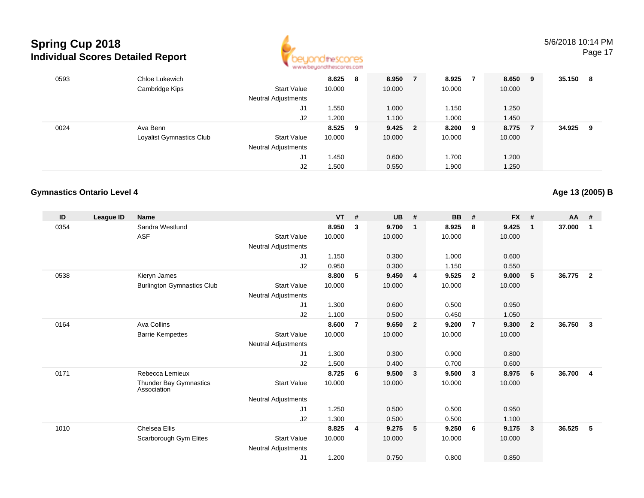

Page 17

| 0593 | Chloe Lukewich           |                            | 8.625  | 8 | 8.950     | 8.925  | ⇁ | 8.650  | - 9 | 35.150 | - 8 |
|------|--------------------------|----------------------------|--------|---|-----------|--------|---|--------|-----|--------|-----|
|      | Cambridge Kips           | <b>Start Value</b>         | 10.000 |   | 10.000    | 10.000 |   | 10.000 |     |        |     |
|      |                          | <b>Neutral Adjustments</b> |        |   |           |        |   |        |     |        |     |
|      |                          | J1                         | 1.550  |   | 1.000     | 1.150  |   | 1.250  |     |        |     |
|      |                          | J2                         | 1.200  |   | 1.100     | 1.000  |   | 1.450  |     |        |     |
| 0024 | Ava Benn                 |                            | 8.525  | 9 | $9.425$ 2 | 8.200  | 9 | 8.775  |     | 34.925 | - 9 |
|      | Loyalist Gymnastics Club | <b>Start Value</b>         | 10.000 |   | 10.000    | 10.000 |   | 10.000 |     |        |     |
|      |                          | <b>Neutral Adjustments</b> |        |   |           |        |   |        |     |        |     |
|      |                          | J1                         | 1.450  |   | 0.600     | 1.700  |   | 1.200  |     |        |     |
|      |                          | J2                         | 1.500  |   | 0.550     | 1.900  |   | 1.250  |     |        |     |

#### **Gymnastics Ontario Level 4**

| ID   | League ID | <b>Name</b>                           |                            | <b>VT</b> | #              | <b>UB</b> | #                       | <b>BB</b> | #                       | <b>FX</b> | #              | <b>AA</b> | #              |
|------|-----------|---------------------------------------|----------------------------|-----------|----------------|-----------|-------------------------|-----------|-------------------------|-----------|----------------|-----------|----------------|
| 0354 |           | Sandra Westlund                       |                            | 8.950     | 3              | 9.700     | $\overline{\mathbf{1}}$ | 8.925     | 8                       | 9.425     | $\mathbf{1}$   | 37.000    | 1              |
|      |           | ASF                                   | <b>Start Value</b>         | 10.000    |                | 10.000    |                         | 10.000    |                         | 10.000    |                |           |                |
|      |           |                                       | Neutral Adjustments        |           |                |           |                         |           |                         |           |                |           |                |
|      |           |                                       | J1                         | 1.150     |                | 0.300     |                         | 1.000     |                         | 0.600     |                |           |                |
|      |           |                                       | J2                         | 0.950     |                | 0.300     |                         | 1.150     |                         | 0.550     |                |           |                |
| 0538 |           | Kieryn James                          |                            | 8.800     | 5              | 9.450     | $\overline{4}$          | 9.525     | $\overline{\mathbf{2}}$ | 9.000     | 5              | 36.775    | $\overline{2}$ |
|      |           | <b>Burlington Gymnastics Club</b>     | <b>Start Value</b>         | 10.000    |                | 10.000    |                         | 10.000    |                         | 10.000    |                |           |                |
|      |           |                                       | Neutral Adjustments        |           |                |           |                         |           |                         |           |                |           |                |
|      |           |                                       | J1                         | 1.300     |                | 0.600     |                         | 0.500     |                         | 0.950     |                |           |                |
|      |           |                                       | J2                         | 1.100     |                | 0.500     |                         | 0.450     |                         | 1.050     |                |           |                |
| 0164 |           | Ava Collins                           |                            | 8.600     | $\overline{7}$ | 9.650     | $\overline{2}$          | 9.200     | $\overline{7}$          | 9.300     | $\overline{2}$ | 36.750    | $\mathbf{3}$   |
|      |           | <b>Barrie Kempettes</b>               | <b>Start Value</b>         | 10.000    |                | 10.000    |                         | 10.000    |                         | 10.000    |                |           |                |
|      |           |                                       | Neutral Adjustments        |           |                |           |                         |           |                         |           |                |           |                |
|      |           |                                       | J1                         | 1.300     |                | 0.300     |                         | 0.900     |                         | 0.800     |                |           |                |
|      |           |                                       | J2                         | 1.500     |                | 0.400     |                         | 0.700     |                         | 0.600     |                |           |                |
| 0171 |           | Rebecca Lemieux                       |                            | 8.725     | 6              | 9.500     | $\mathbf{3}$            | 9.500     | 3                       | 8.975     | 6              | 36.700    | 4              |
|      |           | Thunder Bay Gymnastics<br>Association | <b>Start Value</b>         | 10.000    |                | 10.000    |                         | 10.000    |                         | 10.000    |                |           |                |
|      |           |                                       | Neutral Adjustments        |           |                |           |                         |           |                         |           |                |           |                |
|      |           |                                       | J <sub>1</sub>             | 1.250     |                | 0.500     |                         | 0.500     |                         | 0.950     |                |           |                |
|      |           |                                       | J2                         | 1.300     |                | 0.500     |                         | 0.500     |                         | 1.100     |                |           |                |
| 1010 |           | Chelsea Ellis                         |                            | 8.825     | 4              | 9.275     | - 5                     | 9.250     | 6                       | 9.175     | 3              | 36.525    | 5              |
|      |           | Scarborough Gym Elites                | <b>Start Value</b>         | 10.000    |                | 10.000    |                         | 10.000    |                         | 10.000    |                |           |                |
|      |           |                                       | <b>Neutral Adjustments</b> |           |                |           |                         |           |                         |           |                |           |                |
|      |           |                                       | J1                         | 1.200     |                | 0.750     |                         | 0.800     |                         | 0.850     |                |           |                |

**Age 13 (2005) B**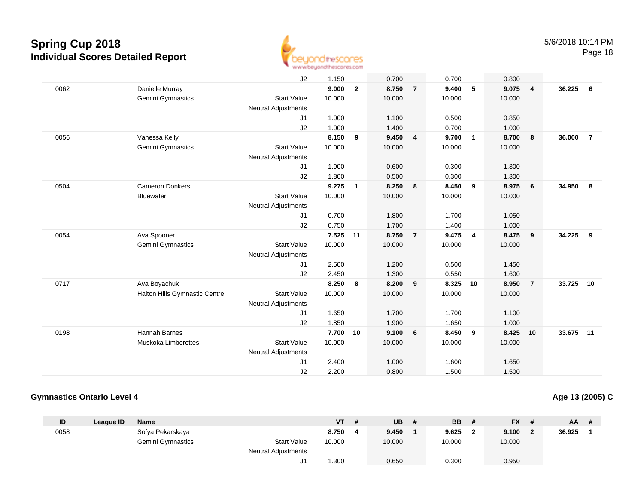

|      |                               | J2                         | 1.150  |                | 0.700  |                         | 0.700  |                | 0.800  |                |        |                |
|------|-------------------------------|----------------------------|--------|----------------|--------|-------------------------|--------|----------------|--------|----------------|--------|----------------|
| 0062 | Danielle Murray               |                            | 9.000  | $\overline{2}$ | 8.750  | $\overline{7}$          | 9.400  | 5              | 9.075  | $\overline{4}$ | 36.225 | - 6            |
|      | Gemini Gymnastics             | <b>Start Value</b>         | 10.000 |                | 10.000 |                         | 10.000 |                | 10.000 |                |        |                |
|      |                               | Neutral Adjustments        |        |                |        |                         |        |                |        |                |        |                |
|      |                               | J1                         | 1.000  |                | 1.100  |                         | 0.500  |                | 0.850  |                |        |                |
|      |                               | J2                         | 1.000  |                | 1.400  |                         | 0.700  |                | 1.000  |                |        |                |
| 0056 | Vanessa Kelly                 |                            | 8.150  | 9              | 9.450  | $\overline{4}$          | 9.700  | $\overline{1}$ | 8.700  | 8              | 36,000 | $\overline{7}$ |
|      | Gemini Gymnastics             | <b>Start Value</b>         | 10.000 |                | 10.000 |                         | 10.000 |                | 10.000 |                |        |                |
|      |                               | Neutral Adjustments        |        |                |        |                         |        |                |        |                |        |                |
|      |                               | J1                         | 1.900  |                | 0.600  |                         | 0.300  |                | 1.300  |                |        |                |
|      |                               | J2                         | 1.800  |                | 0.500  |                         | 0.300  |                | 1.300  |                |        |                |
| 0504 | <b>Cameron Donkers</b>        |                            | 9.275  | $\overline{1}$ | 8.250  | $\overline{\mathbf{8}}$ | 8.450  | 9              | 8.975  | 6              | 34.950 | 8              |
|      | <b>Bluewater</b>              | <b>Start Value</b>         | 10.000 |                | 10.000 |                         | 10.000 |                | 10.000 |                |        |                |
|      |                               | Neutral Adjustments        |        |                |        |                         |        |                |        |                |        |                |
|      |                               | J1                         | 0.700  |                | 1.800  |                         | 1.700  |                | 1.050  |                |        |                |
|      |                               | J2                         | 0.750  |                | 1.700  |                         | 1.400  |                | 1.000  |                |        |                |
| 0054 | Ava Spooner                   |                            | 7.525  | 11             | 8.750  | $\overline{7}$          | 9.475  | $\overline{4}$ | 8.475  | 9              | 34.225 | 9              |
|      | Gemini Gymnastics             | <b>Start Value</b>         | 10.000 |                | 10.000 |                         | 10.000 |                | 10.000 |                |        |                |
|      |                               | <b>Neutral Adjustments</b> |        |                |        |                         |        |                |        |                |        |                |
|      |                               | J1                         | 2.500  |                | 1.200  |                         | 0.500  |                | 1.450  |                |        |                |
|      |                               | J2                         | 2.450  |                | 1.300  |                         | 0.550  |                | 1.600  |                |        |                |
| 0717 | Ava Boyachuk                  |                            | 8.250  | 8              | 8.200  | 9                       | 8.325  | 10             | 8.950  | $\overline{7}$ | 33.725 | 10             |
|      | Halton Hills Gymnastic Centre | <b>Start Value</b>         | 10.000 |                | 10.000 |                         | 10.000 |                | 10.000 |                |        |                |
|      |                               | <b>Neutral Adjustments</b> |        |                |        |                         |        |                |        |                |        |                |
|      |                               | J1                         | 1.650  |                | 1.700  |                         | 1.700  |                | 1.100  |                |        |                |
|      |                               | J2                         | 1.850  |                | 1.900  |                         | 1.650  |                | 1.000  |                |        |                |
| 0198 | <b>Hannah Barnes</b>          |                            | 7.700  | 10             | 9.100  | 6                       | 8.450  | 9              | 8.425  | 10             | 33.675 | 11             |
|      | Muskoka Limberettes           | <b>Start Value</b>         | 10.000 |                | 10.000 |                         | 10.000 |                | 10.000 |                |        |                |
|      |                               | <b>Neutral Adjustments</b> |        |                |        |                         |        |                |        |                |        |                |
|      |                               | J1                         | 2.400  |                | 1.000  |                         | 1.600  |                | 1.650  |                |        |                |
|      |                               | J2                         | 2.200  |                | 0.800  |                         | 1.500  |                | 1.500  |                |        |                |

#### **Gymnastics Ontario Level 4**

#### **Age 13 (2005) C**

| ID   | League ID | <b>Name</b>              |                            | VT     | # | UB.    | BB.    |   | $FX$ # | <b>AA</b> | - # |
|------|-----------|--------------------------|----------------------------|--------|---|--------|--------|---|--------|-----------|-----|
| 0058 |           | Sofya Pekarskaya         |                            | 8.750  | 4 | 9.450  | 9.625  | ີ | 9.100  | 36.925    |     |
|      |           | <b>Gemini Gymnastics</b> | <b>Start Value</b>         | 10.000 |   | 10.000 | 10.000 |   | 10.000 |           |     |
|      |           |                          | <b>Neutral Adjustments</b> |        |   |        |        |   |        |           |     |
|      |           |                          |                            | .300   |   | 0.650  | 0.300  |   | 0.950  |           |     |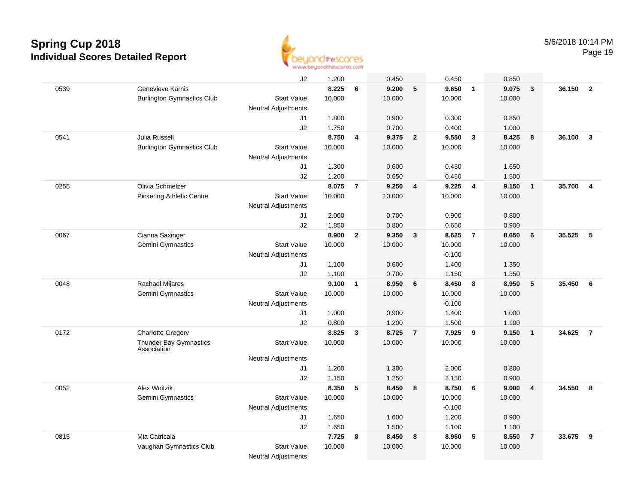

Page 19

|      |                                       | J2                         | 1.200  |                         | 0.450  |                | 0.450    |                         | 0.850  |                         |        |                         |
|------|---------------------------------------|----------------------------|--------|-------------------------|--------|----------------|----------|-------------------------|--------|-------------------------|--------|-------------------------|
| 0539 | Genevieve Karnis                      |                            | 8.225  | 6                       | 9.200  | 5              | 9.650    | $\mathbf{1}$            | 9.075  | $\overline{\mathbf{3}}$ | 36.150 | $\overline{2}$          |
|      | <b>Burlington Gymnastics Club</b>     | <b>Start Value</b>         | 10.000 |                         | 10.000 |                | 10.000   |                         | 10.000 |                         |        |                         |
|      |                                       | <b>Neutral Adjustments</b> |        |                         |        |                |          |                         |        |                         |        |                         |
|      |                                       | J1                         | 1.800  |                         | 0.900  |                | 0.300    |                         | 0.850  |                         |        |                         |
|      |                                       | J2                         | 1.750  |                         | 0.700  |                | 0.400    |                         | 1.000  |                         |        |                         |
| 0541 | Julia Russell                         |                            | 8.750  | $\overline{\mathbf{4}}$ | 9.375  | $\overline{2}$ | 9.550    | $\overline{\mathbf{3}}$ | 8.425  | 8                       | 36.100 | $\overline{3}$          |
|      | <b>Burlington Gymnastics Club</b>     | <b>Start Value</b>         | 10.000 |                         | 10.000 |                | 10.000   |                         | 10.000 |                         |        |                         |
|      |                                       | <b>Neutral Adjustments</b> |        |                         |        |                |          |                         |        |                         |        |                         |
|      |                                       | J1                         | 1.300  |                         | 0.600  |                | 0.450    |                         | 1.650  |                         |        |                         |
|      |                                       | J2                         | 1.200  |                         | 0.650  |                | 0.450    |                         | 1.500  |                         |        |                         |
| 0255 | Olivia Schmelzer                      |                            | 8.075  | $\overline{7}$          | 9.250  | 4              | 9.225    | 4                       | 9.150  | $\overline{\mathbf{1}}$ | 35.700 | $\overline{\mathbf{4}}$ |
|      | <b>Pickering Athletic Centre</b>      | <b>Start Value</b>         | 10.000 |                         | 10.000 |                | 10.000   |                         | 10.000 |                         |        |                         |
|      |                                       | <b>Neutral Adjustments</b> |        |                         |        |                |          |                         |        |                         |        |                         |
|      |                                       | J1                         | 2.000  |                         | 0.700  |                | 0.900    |                         | 0.800  |                         |        |                         |
|      |                                       | J2                         | 1.850  |                         | 0.800  |                | 0.650    |                         | 0.900  |                         |        |                         |
| 0067 | Cianna Saxinger                       |                            | 8.900  | $\mathbf{2}$            | 9.350  | $\mathbf{3}$   | 8.625    | $\overline{7}$          | 8.650  | 6                       | 35.525 | 5                       |
|      | Gemini Gymnastics                     | <b>Start Value</b>         | 10.000 |                         | 10.000 |                | 10.000   |                         | 10.000 |                         |        |                         |
|      |                                       | <b>Neutral Adjustments</b> |        |                         |        |                | $-0.100$ |                         |        |                         |        |                         |
|      |                                       | J1                         | 1.100  |                         | 0.600  |                | 1.400    |                         | 1.350  |                         |        |                         |
|      |                                       | J2                         | 1.100  |                         | 0.700  |                | 1.150    |                         | 1.350  |                         |        |                         |
| 0048 | Rachael Mijares                       |                            | 9.100  | $\mathbf{1}$            | 8.950  | 6              | 8.450    | $\boldsymbol{8}$        | 8.950  | 5                       | 35.450 | 6                       |
|      | Gemini Gymnastics                     | <b>Start Value</b>         | 10.000 |                         | 10.000 |                | 10.000   |                         | 10.000 |                         |        |                         |
|      |                                       | <b>Neutral Adjustments</b> |        |                         |        |                | $-0.100$ |                         |        |                         |        |                         |
|      |                                       | J1                         | 1.000  |                         | 0.900  |                | 1.400    |                         | 1.000  |                         |        |                         |
|      |                                       | J2                         | 0.800  |                         | 1.200  |                | 1.500    |                         | 1.100  |                         |        |                         |
| 0172 | <b>Charlotte Gregory</b>              |                            | 8.825  | 3                       | 8.725  | $\overline{7}$ | 7.925    | 9                       | 9.150  | $\overline{1}$          | 34.625 | $\overline{7}$          |
|      | Thunder Bay Gymnastics<br>Association | <b>Start Value</b>         | 10.000 |                         | 10.000 |                | 10.000   |                         | 10.000 |                         |        |                         |
|      |                                       | <b>Neutral Adjustments</b> |        |                         |        |                |          |                         |        |                         |        |                         |
|      |                                       | J1                         | 1.200  |                         | 1.300  |                | 2.000    |                         | 0.800  |                         |        |                         |
|      |                                       | J2                         | 1.150  |                         | 1.250  |                | 2.150    |                         | 0.900  |                         |        |                         |
| 0052 | Alex Woitzik                          |                            | 8.350  | 5                       | 8.450  | 8              | 8.750    | 6                       | 9.000  | $\overline{4}$          | 34.550 | 8                       |
|      | Gemini Gymnastics                     | <b>Start Value</b>         | 10.000 |                         | 10.000 |                | 10.000   |                         | 10.000 |                         |        |                         |
|      |                                       | <b>Neutral Adjustments</b> |        |                         |        |                | $-0.100$ |                         |        |                         |        |                         |
|      |                                       | J1                         | 1.650  |                         | 1.600  |                | 1.200    |                         | 0.900  |                         |        |                         |
|      |                                       | J2                         | 1.650  |                         | 1.500  |                | 1.100    |                         | 1.100  |                         |        |                         |
| 0815 | Mia Catricala                         |                            | 7.725  | 8                       | 8.450  | 8              | 8.950    | 5                       | 8.550  | $\overline{7}$          | 33.675 | 9                       |
|      | Vaughan Gymnastics Club               | <b>Start Value</b>         | 10.000 |                         | 10.000 |                | 10.000   |                         | 10.000 |                         |        |                         |
|      |                                       | <b>Neutral Adjustments</b> |        |                         |        |                |          |                         |        |                         |        |                         |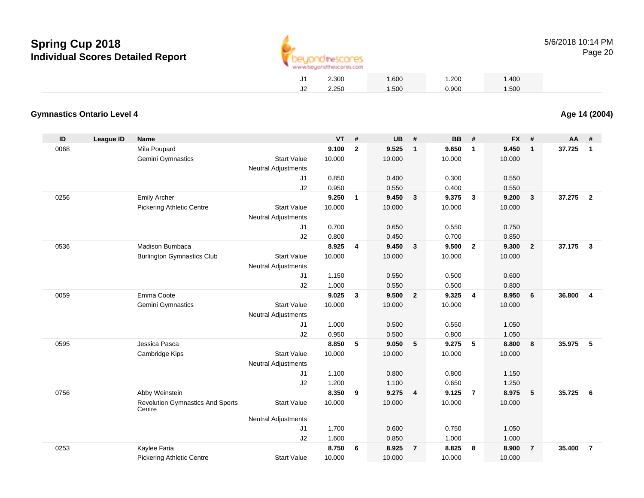

|    | 2.300 | 1.600 | 1.200 | 1.400 |
|----|-------|-------|-------|-------|
| J2 | 2.250 | 1.500 | 0.900 | 1.500 |

#### **Gymnastics Ontario Level 4**

| ID   | <b>League ID</b> | <b>Name</b>                                       |                            | <b>VT</b>      | #              | <b>UB</b>      | #                       | <b>BB</b>       | #              | <b>FX</b>       | #              | <b>AA</b> | #              |
|------|------------------|---------------------------------------------------|----------------------------|----------------|----------------|----------------|-------------------------|-----------------|----------------|-----------------|----------------|-----------|----------------|
| 0068 |                  | Mila Poupard                                      |                            | 9.100          | $\overline{2}$ | 9.525          | $\overline{1}$          | 9.650           | $\overline{1}$ | 9.450           | $\mathbf{1}$   | 37.725    | $\mathbf{1}$   |
|      |                  | Gemini Gymnastics                                 | <b>Start Value</b>         | 10.000         |                | 10.000         |                         | 10.000          |                | 10.000          |                |           |                |
|      |                  |                                                   | <b>Neutral Adjustments</b> |                |                |                |                         |                 |                |                 |                |           |                |
|      |                  |                                                   | J1                         | 0.850          |                | 0.400          |                         | 0.300           |                | 0.550           |                |           |                |
|      |                  |                                                   | J2                         | 0.950          |                | 0.550          |                         | 0.400           |                | 0.550           |                |           |                |
| 0256 |                  | <b>Emily Archer</b>                               |                            | 9.250          | $\overline{1}$ | 9.450          | $\overline{\mathbf{3}}$ | 9.375           | $\mathbf{3}$   | 9.200           | 3              | 37.275    | $\overline{2}$ |
|      |                  | <b>Pickering Athletic Centre</b>                  | <b>Start Value</b>         | 10.000         |                | 10.000         |                         | 10.000          |                | 10.000          |                |           |                |
|      |                  |                                                   | <b>Neutral Adjustments</b> |                |                |                |                         |                 |                |                 |                |           |                |
|      |                  |                                                   | J <sub>1</sub>             | 0.700          |                | 0.650          |                         | 0.550           |                | 0.750           |                |           |                |
|      |                  |                                                   | J2                         | 0.800          |                | 0.450          |                         | 0.700           |                | 0.850           |                |           |                |
| 0536 |                  | Madison Bumbaca                                   |                            | 8.925          | 4              | 9.450          | $\overline{\mathbf{3}}$ | 9.500           | $\overline{2}$ | 9.300           | $\overline{2}$ | 37.175    | $\mathbf{3}$   |
|      |                  | <b>Burlington Gymnastics Club</b>                 | <b>Start Value</b>         | 10.000         |                | 10.000         |                         | 10.000          |                | 10.000          |                |           |                |
|      |                  |                                                   | <b>Neutral Adjustments</b> |                |                |                |                         |                 |                |                 |                |           |                |
|      |                  |                                                   | J <sub>1</sub>             | 1.150          |                | 0.550          |                         | 0.500           |                | 0.600           |                |           |                |
|      |                  |                                                   | J2                         | 1.000          |                | 0.550          |                         | 0.500           |                | 0.800           |                |           |                |
| 0059 |                  | Emma Coote                                        |                            | 9.025          | $\mathbf{3}$   | 9.500          | $\overline{\mathbf{2}}$ | 9.325           | $\overline{4}$ | 8.950           | 6              | 36.800    | $\overline{4}$ |
|      |                  | Gemini Gymnastics                                 | <b>Start Value</b>         | 10.000         |                | 10.000         |                         | 10.000          |                | 10.000          |                |           |                |
|      |                  |                                                   | <b>Neutral Adjustments</b> |                |                |                |                         |                 |                |                 |                |           |                |
|      |                  |                                                   | J <sub>1</sub>             | 1.000          |                | 0.500          |                         | 0.550           |                | 1.050           |                |           |                |
| 0595 |                  | Jessica Pasca                                     | J2                         | 0.950<br>8.850 | 5              | 0.500<br>9.050 | 5                       | 0.800           | 5              | 1.050           | 8              | 35.975    | 5              |
|      |                  |                                                   | <b>Start Value</b>         | 10.000         |                | 10.000         |                         | 9.275<br>10.000 |                | 8.800<br>10.000 |                |           |                |
|      |                  | Cambridge Kips                                    | <b>Neutral Adjustments</b> |                |                |                |                         |                 |                |                 |                |           |                |
|      |                  |                                                   | J <sub>1</sub>             | 1.100          |                | 0.800          |                         | 0.800           |                | 1.150           |                |           |                |
|      |                  |                                                   | J2                         | 1.200          |                | 1.100          |                         | 0.650           |                | 1.250           |                |           |                |
| 0756 |                  | Abby Weinstein                                    |                            | 8.350          | 9              | 9.275          | $\overline{\mathbf{4}}$ | 9.125           | $\overline{7}$ | 8.975           | 5              | 35.725    | 6              |
|      |                  | <b>Revolution Gymnastics And Sports</b><br>Centre | <b>Start Value</b>         | 10.000         |                | 10.000         |                         | 10.000          |                | 10.000          |                |           |                |
|      |                  |                                                   | <b>Neutral Adjustments</b> |                |                |                |                         |                 |                |                 |                |           |                |
|      |                  |                                                   | J <sub>1</sub>             | 1.700          |                | 0.600          |                         | 0.750           |                | 1.050           |                |           |                |
|      |                  |                                                   | J2                         | 1.600          |                | 0.850          |                         | 1.000           |                | 1.000           |                |           |                |
| 0253 |                  | Kaylee Faria                                      |                            | 8.750          | 6              | 8.925          | $\overline{7}$          | 8.825           | 8              | 8.900           | $\overline{7}$ | 35.400    | $\overline{7}$ |
|      |                  | <b>Pickering Athletic Centre</b>                  | <b>Start Value</b>         | 10.000         |                | 10.000         |                         | 10.000          |                | 10.000          |                |           |                |
|      |                  |                                                   |                            |                |                |                |                         |                 |                |                 |                |           |                |

**Age 14 (2004)**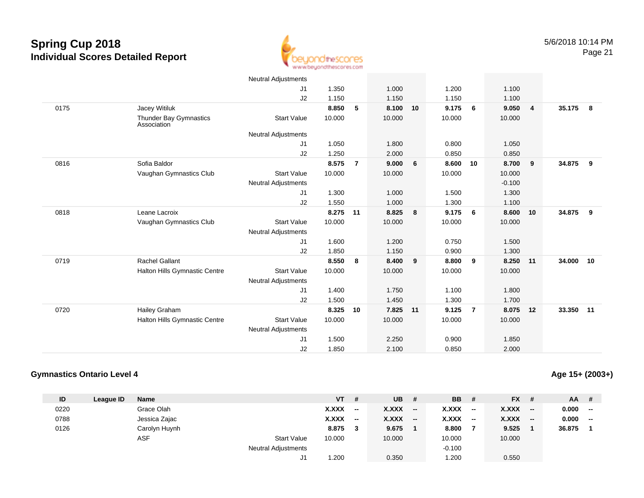

|      |                                       | <b>Neutral Adjustments</b> |        |                |        |    |        |                |          |                |        |    |
|------|---------------------------------------|----------------------------|--------|----------------|--------|----|--------|----------------|----------|----------------|--------|----|
|      |                                       | J1                         | 1.350  |                | 1.000  |    | 1.200  |                | 1.100    |                |        |    |
|      |                                       | J2                         | 1.150  |                | 1.150  |    | 1.150  |                | 1.100    |                |        |    |
| 0175 | Jacey Witiluk                         |                            | 8.850  | 5              | 8.100  | 10 | 9.175  | 6              | 9.050    | $\overline{4}$ | 35.175 | 8  |
|      | Thunder Bay Gymnastics<br>Association | <b>Start Value</b>         | 10.000 |                | 10.000 |    | 10.000 |                | 10.000   |                |        |    |
|      |                                       | <b>Neutral Adjustments</b> |        |                |        |    |        |                |          |                |        |    |
|      |                                       | J1                         | 1.050  |                | 1.800  |    | 0.800  |                | 1.050    |                |        |    |
|      |                                       | J2                         | 1.250  |                | 2.000  |    | 0.850  |                | 0.850    |                |        |    |
| 0816 | Sofia Baldor                          |                            | 8.575  | $\overline{7}$ | 9.000  | 6  | 8.600  | 10             | 8.700    | 9              | 34.875 | 9  |
|      | Vaughan Gymnastics Club               | <b>Start Value</b>         | 10.000 |                | 10.000 |    | 10.000 |                | 10.000   |                |        |    |
|      |                                       | <b>Neutral Adjustments</b> |        |                |        |    |        |                | $-0.100$ |                |        |    |
|      |                                       | J1                         | 1.300  |                | 1.000  |    | 1.500  |                | 1.300    |                |        |    |
|      |                                       | J2                         | 1.550  |                | 1.000  |    | 1.300  |                | 1.100    |                |        |    |
| 0818 | Leane Lacroix                         |                            | 8.275  | 11             | 8.825  | 8  | 9.175  | 6              | 8.600    | 10             | 34.875 | 9  |
|      | Vaughan Gymnastics Club               | <b>Start Value</b>         | 10.000 |                | 10.000 |    | 10.000 |                | 10.000   |                |        |    |
|      |                                       | <b>Neutral Adjustments</b> |        |                |        |    |        |                |          |                |        |    |
|      |                                       | J1                         | 1.600  |                | 1.200  |    | 0.750  |                | 1.500    |                |        |    |
|      |                                       | J2                         | 1.850  |                | 1.150  |    | 0.900  |                | 1.300    |                |        |    |
| 0719 | <b>Rachel Gallant</b>                 |                            | 8.550  | 8              | 8.400  | 9  | 8.800  | 9              | 8.250    | 11             | 34.000 | 10 |
|      | Halton Hills Gymnastic Centre         | <b>Start Value</b>         | 10.000 |                | 10.000 |    | 10.000 |                | 10.000   |                |        |    |
|      |                                       | <b>Neutral Adjustments</b> |        |                |        |    |        |                |          |                |        |    |
|      |                                       | J1                         | 1.400  |                | 1.750  |    | 1.100  |                | 1.800    |                |        |    |
|      |                                       | J2                         | 1.500  |                | 1.450  |    | 1.300  |                | 1.700    |                |        |    |
| 0720 | Hailey Graham                         |                            | 8.325  | 10             | 7.825  | 11 | 9.125  | $\overline{7}$ | 8.075    | 12             | 33.350 | 11 |
|      | Halton Hills Gymnastic Centre         | <b>Start Value</b>         | 10.000 |                | 10.000 |    | 10.000 |                | 10.000   |                |        |    |
|      |                                       | <b>Neutral Adjustments</b> |        |                |        |    |        |                |          |                |        |    |
|      |                                       | J1                         | 1.500  |                | 2.250  |    | 0.900  |                | 1.850    |                |        |    |
|      |                                       | J2                         | 1.850  |                | 2.100  |    | 0.850  |                | 2.000    |                |        |    |

#### **Gymnastics Ontario Level 4**

**Age 15+ (2003+)**

| ID   | League ID | <b>Name</b>   |                            | $VT$ #       |       | <b>UB</b>    | -#                       | <b>BB</b> | $^{\prime}$ | <b>FX</b> | - # | $AA$ # |        |
|------|-----------|---------------|----------------------------|--------------|-------|--------------|--------------------------|-----------|-------------|-----------|-----|--------|--------|
| 0220 |           | Grace Olah    |                            | <b>X.XXX</b> | ۰.    | X.XXX        | $\overline{\phantom{m}}$ | X.XXX     | $\sim$      | X.XXX     | $-$ | 0.000  | $\sim$ |
| 0788 |           | Jessica Zajac |                            | <b>X.XXX</b> | $- -$ | <b>X.XXX</b> | $- -$                    | X.XXX     | $-$         | X.XXX     | $-$ | 0.000  | $-$    |
| 0126 |           | Carolyn Huynh |                            | 8.875        | 3     | 9.675        |                          | 8.800     |             | 9.525     |     | 36.875 |        |
|      |           | ASF           | <b>Start Value</b>         | 10.000       |       | 10.000       |                          | 10.000    |             | 10.000    |     |        |        |
|      |           |               | <b>Neutral Adjustments</b> |              |       |              |                          | $-0.100$  |             |           |     |        |        |
|      |           |               | ັບ                         | 1.200        |       | 0.350        |                          | .200      |             | 0.550     |     |        |        |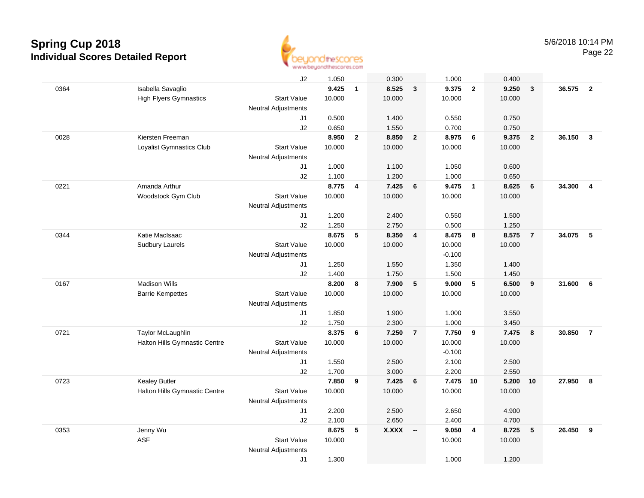

|      |                               | J2                         | 1.050  |                | 0.300        |                | 1.000    |                         | 0.400  |                |        |                         |
|------|-------------------------------|----------------------------|--------|----------------|--------------|----------------|----------|-------------------------|--------|----------------|--------|-------------------------|
| 0364 | Isabella Savaglio             |                            | 9.425  | $\mathbf{1}$   | 8.525        | $\mathbf{3}$   | 9.375    | $\overline{\mathbf{2}}$ | 9.250  | $\mathbf{3}$   | 36.575 | $\overline{\mathbf{2}}$ |
|      | <b>High Flyers Gymnastics</b> | <b>Start Value</b>         | 10.000 |                | 10.000       |                | 10.000   |                         | 10.000 |                |        |                         |
|      |                               | <b>Neutral Adjustments</b> |        |                |              |                |          |                         |        |                |        |                         |
|      |                               | J1                         | 0.500  |                | 1.400        |                | 0.550    |                         | 0.750  |                |        |                         |
|      |                               | J2                         | 0.650  |                | 1.550        |                | 0.700    |                         | 0.750  |                |        |                         |
| 0028 | Kiersten Freeman              |                            | 8.950  | $\overline{2}$ | 8.850        | $\overline{2}$ | 8.975    | 6                       | 9.375  | $\overline{2}$ | 36.150 | $\overline{\mathbf{3}}$ |
|      | Loyalist Gymnastics Club      | <b>Start Value</b>         | 10.000 |                | 10.000       |                | 10.000   |                         | 10.000 |                |        |                         |
|      |                               | <b>Neutral Adjustments</b> |        |                |              |                |          |                         |        |                |        |                         |
|      |                               | J1                         | 1.000  |                | 1.100        |                | 1.050    |                         | 0.600  |                |        |                         |
|      |                               | J2                         | 1.100  |                | 1.200        |                | 1.000    |                         | 0.650  |                |        |                         |
| 0221 | Amanda Arthur                 |                            | 8.775  | 4              | 7.425        | 6              | 9.475    | $\overline{\mathbf{1}}$ | 8.625  | 6              | 34.300 | 4                       |
|      | Woodstock Gym Club            | <b>Start Value</b>         | 10.000 |                | 10.000       |                | 10.000   |                         | 10.000 |                |        |                         |
|      |                               | <b>Neutral Adjustments</b> |        |                |              |                |          |                         |        |                |        |                         |
|      |                               | J1                         | 1.200  |                | 2.400        |                | 0.550    |                         | 1.500  |                |        |                         |
|      |                               | J2                         | 1.250  |                | 2.750        |                | 0.500    |                         | 1.250  |                |        |                         |
| 0344 | Katie MacIsaac                |                            | 8.675  | 5              | 8.350        | 4              | 8.475    | 8                       | 8.575  | $\overline{7}$ | 34.075 | 5                       |
|      | <b>Sudbury Laurels</b>        | <b>Start Value</b>         | 10.000 |                | 10.000       |                | 10.000   |                         | 10.000 |                |        |                         |
|      |                               | <b>Neutral Adjustments</b> |        |                |              |                | $-0.100$ |                         |        |                |        |                         |
|      |                               | J1                         | 1.250  |                | 1.550        |                | 1.350    |                         | 1.400  |                |        |                         |
|      |                               | J2                         | 1.400  |                | 1.750        |                | 1.500    |                         | 1.450  |                |        |                         |
| 0167 | <b>Madison Wills</b>          |                            | 8.200  | 8              | 7.900        | 5              | 9.000    | 5                       | 6.500  | 9              | 31.600 | 6                       |
|      | <b>Barrie Kempettes</b>       | <b>Start Value</b>         | 10.000 |                | 10.000       |                | 10.000   |                         | 10.000 |                |        |                         |
|      |                               | <b>Neutral Adjustments</b> |        |                |              |                |          |                         |        |                |        |                         |
|      |                               | J1                         | 1.850  |                | 1.900        |                | 1.000    |                         | 3.550  |                |        |                         |
|      |                               | J2                         | 1.750  |                | 2.300        |                | 1.000    |                         | 3.450  |                |        |                         |
| 0721 | Taylor McLaughlin             |                            | 8.375  | 6              | 7.250        | $\overline{7}$ | 7.750    | 9                       | 7.475  | 8              | 30.850 | $\overline{7}$          |
|      | Halton Hills Gymnastic Centre | <b>Start Value</b>         | 10.000 |                | 10.000       |                | 10.000   |                         | 10.000 |                |        |                         |
|      |                               | <b>Neutral Adjustments</b> |        |                |              |                | $-0.100$ |                         |        |                |        |                         |
|      |                               | J1                         | 1.550  |                | 2.500        |                | 2.100    |                         | 2.500  |                |        |                         |
|      |                               | J2                         | 1.700  |                | 3.000        |                | 2.200    |                         | 2.550  |                |        |                         |
| 0723 | <b>Kealey Butler</b>          |                            | 7.850  | 9              | 7.425        | 6              | 7.475 10 |                         | 5.200  | 10             | 27.950 | 8                       |
|      | Halton Hills Gymnastic Centre | <b>Start Value</b>         | 10.000 |                | 10.000       |                | 10.000   |                         | 10.000 |                |        |                         |
|      |                               | <b>Neutral Adjustments</b> |        |                |              |                |          |                         |        |                |        |                         |
|      |                               | J1                         | 2.200  |                | 2.500        |                | 2.650    |                         | 4.900  |                |        |                         |
|      |                               | J2                         | 2.100  |                | 2.650        |                | 2.400    |                         | 4.700  |                |        |                         |
| 0353 | Jenny Wu                      |                            | 8.675  | 5              | <b>X.XXX</b> | $\sim$         | 9.050    | 4                       | 8.725  | $\sqrt{5}$     | 26.450 | 9                       |
|      | ASF                           | <b>Start Value</b>         | 10.000 |                |              |                | 10.000   |                         | 10.000 |                |        |                         |
|      |                               | <b>Neutral Adjustments</b> |        |                |              |                |          |                         |        |                |        |                         |
|      |                               | J1                         | 1.300  |                |              |                | 1.000    |                         | 1.200  |                |        |                         |
|      |                               |                            |        |                |              |                |          |                         |        |                |        |                         |